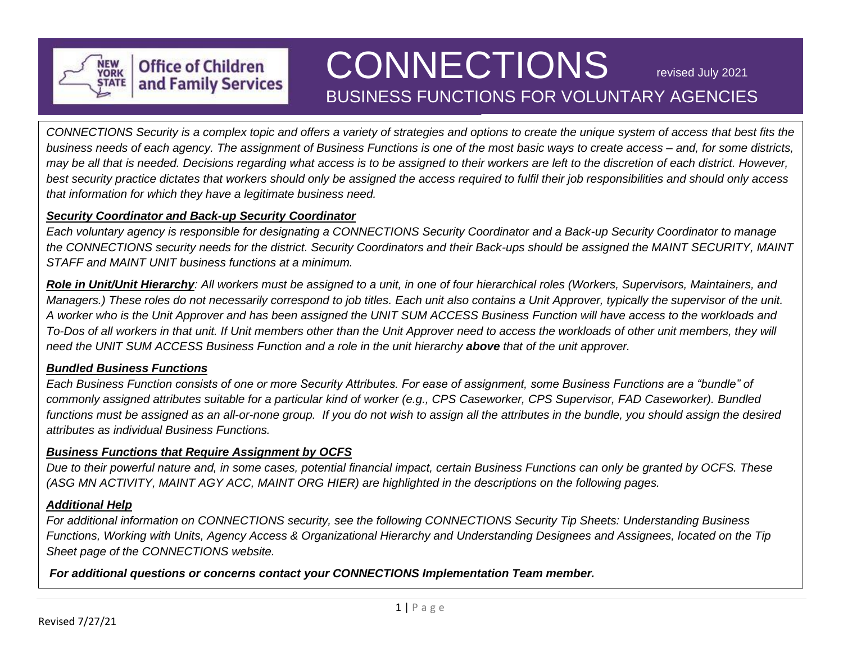

# BUSINESS FUNCTIONS FOR VOLUNTARY AGENCIES CONNECTIONS revised July 2021

*CONNECTIONS Security is a complex topic and offers a variety of strategies and options to create the unique system of access that best fits the business needs of each agency. The assignment of Business Functions is one of the most basic ways to create access – and, for some districts, may be all that is needed. Decisions regarding what access is to be assigned to their workers are left to the discretion of each district. However, best security practice dictates that workers should only be assigned the access required to fulfil their job responsibilities and should only access that information for which they have a legitimate business need.*

#### *Security Coordinator and Back-up Security Coordinator*

**Office of Children** and Family Services

*Each voluntary agency is responsible for designating a CONNECTIONS Security Coordinator and a Back-up Security Coordinator to manage the CONNECTIONS security needs for the district. Security Coordinators and their Back-ups should be assigned the MAINT SECURITY, MAINT STAFF and MAINT UNIT business functions at a minimum.* 

*Role in Unit/Unit Hierarchy: All workers must be assigned to a unit, in one of four hierarchical roles (Workers, Supervisors, Maintainers, and Managers.) These roles do not necessarily correspond to job titles. Each unit also contains a Unit Approver, typically the supervisor of the unit. A worker who is the Unit Approver and has been assigned the UNIT SUM ACCESS Business Function will have access to the workloads and To-Dos of all workers in that unit. If Unit members other than the Unit Approver need to access the workloads of other unit members, they will need the UNIT SUM ACCESS Business Function and a role in the unit hierarchy above that of the unit approver.*

### *Bundled Business Functions*

*Each Business Function consists of one or more Security Attributes. For ease of assignment, some Business Functions are a "bundle" of commonly assigned attributes suitable for a particular kind of worker (e.g., CPS Caseworker, CPS Supervisor, FAD Caseworker). Bundled functions must be assigned as an all-or-none group. If you do not wish to assign all the attributes in the bundle, you should assign the desired attributes as individual Business Functions.*

#### *Business Functions that Require Assignment by OCFS*

*Due to their powerful nature and, in some cases, potential financial impact, certain Business Functions can only be granted by OCFS. These (ASG MN ACTIVITY, MAINT AGY ACC, MAINT ORG HIER) are highlighted in the descriptions on the following pages.*

#### *Additional Help*

*For additional information on CONNECTIONS security, see the following CONNECTIONS Security Tip Sheets: Understanding Business Functions, Working with Units, Agency Access & Organizational Hierarchy and Understanding Designees and Assignees, located on the Tip Sheet page of the CONNECTIONS website.*

*For additional questions or concerns contact your CONNECTIONS Implementation Team member.*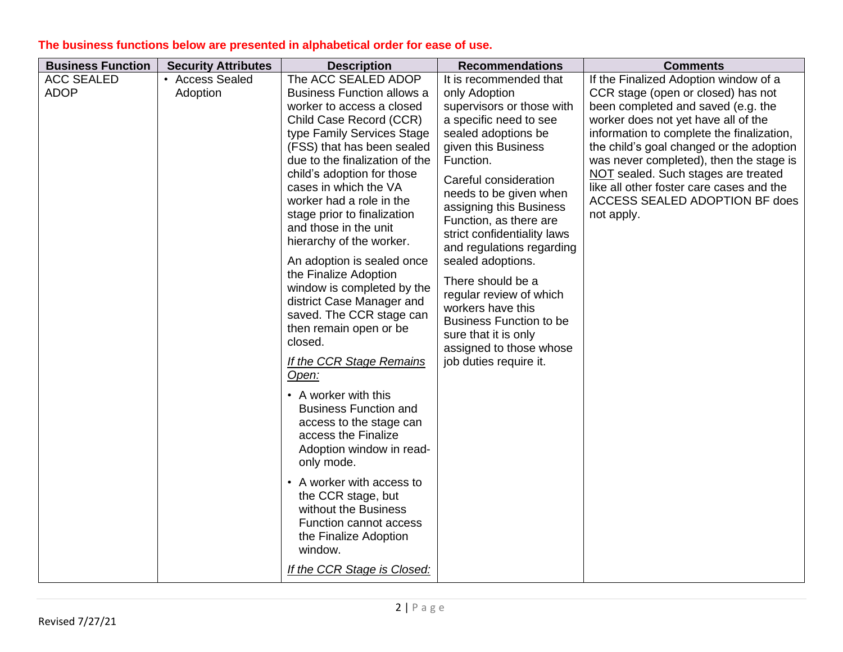| <b>Business Function</b> | <b>Security Attributes</b> | <b>Description</b>                         | <b>Recommendations</b>         | <b>Comments</b>                           |
|--------------------------|----------------------------|--------------------------------------------|--------------------------------|-------------------------------------------|
| <b>ACC SEALED</b>        | • Access Sealed            | The ACC SEALED ADOP                        | It is recommended that         | If the Finalized Adoption window of a     |
| <b>ADOP</b>              | Adoption                   | <b>Business Function allows a</b>          | only Adoption                  | CCR stage (open or closed) has not        |
|                          |                            | worker to access a closed                  | supervisors or those with      | been completed and saved (e.g. the        |
|                          |                            | Child Case Record (CCR)                    | a specific need to see         | worker does not yet have all of the       |
|                          |                            | type Family Services Stage                 | sealed adoptions be            | information to complete the finalization, |
|                          |                            | (FSS) that has been sealed                 | given this Business            | the child's goal changed or the adoption  |
|                          |                            | due to the finalization of the             | Function.                      | was never completed), then the stage is   |
|                          |                            | child's adoption for those                 | Careful consideration          | NOT sealed. Such stages are treated       |
|                          |                            | cases in which the VA                      | needs to be given when         | like all other foster care cases and the  |
|                          |                            | worker had a role in the                   | assigning this Business        | ACCESS SEALED ADOPTION BF does            |
|                          |                            | stage prior to finalization                | Function, as there are         | not apply.                                |
|                          |                            | and those in the unit                      | strict confidentiality laws    |                                           |
|                          |                            | hierarchy of the worker.                   | and regulations regarding      |                                           |
|                          |                            | An adoption is sealed once                 | sealed adoptions.              |                                           |
|                          |                            | the Finalize Adoption                      | There should be a              |                                           |
|                          |                            | window is completed by the                 | regular review of which        |                                           |
|                          |                            | district Case Manager and                  | workers have this              |                                           |
|                          |                            | saved. The CCR stage can                   | <b>Business Function to be</b> |                                           |
|                          |                            | then remain open or be                     | sure that it is only           |                                           |
|                          |                            | closed.                                    | assigned to those whose        |                                           |
|                          |                            | If the CCR Stage Remains                   | job duties require it.         |                                           |
|                          |                            | Open:                                      |                                |                                           |
|                          |                            | • A worker with this                       |                                |                                           |
|                          |                            | <b>Business Function and</b>               |                                |                                           |
|                          |                            | access to the stage can                    |                                |                                           |
|                          |                            | access the Finalize                        |                                |                                           |
|                          |                            | Adoption window in read-                   |                                |                                           |
|                          |                            | only mode.                                 |                                |                                           |
|                          |                            |                                            |                                |                                           |
|                          |                            | • A worker with access to                  |                                |                                           |
|                          |                            | the CCR stage, but<br>without the Business |                                |                                           |
|                          |                            | Function cannot access                     |                                |                                           |
|                          |                            | the Finalize Adoption                      |                                |                                           |
|                          |                            | window.                                    |                                |                                           |
|                          |                            |                                            |                                |                                           |
|                          |                            | If the CCR Stage is Closed:                |                                |                                           |

## **The business functions below are presented in alphabetical order for ease of use.**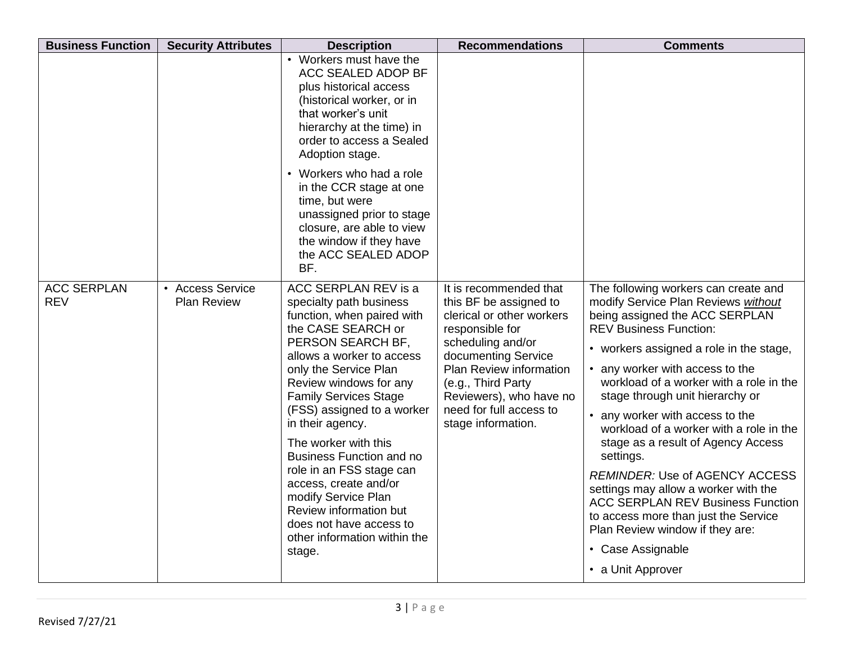| <b>Business Function</b>         | <b>Security Attributes</b>                               | <b>Description</b>                                                                                                                                                                                                                                                                                                                                                                                                                                                                                                               | <b>Recommendations</b>                                                                                                                                                                                                                                                    | <b>Comments</b>                                                                                                                                                                                                                                                                                                                                                                                                                                                                                                                                                                                                                                                                               |
|----------------------------------|----------------------------------------------------------|----------------------------------------------------------------------------------------------------------------------------------------------------------------------------------------------------------------------------------------------------------------------------------------------------------------------------------------------------------------------------------------------------------------------------------------------------------------------------------------------------------------------------------|---------------------------------------------------------------------------------------------------------------------------------------------------------------------------------------------------------------------------------------------------------------------------|-----------------------------------------------------------------------------------------------------------------------------------------------------------------------------------------------------------------------------------------------------------------------------------------------------------------------------------------------------------------------------------------------------------------------------------------------------------------------------------------------------------------------------------------------------------------------------------------------------------------------------------------------------------------------------------------------|
|                                  |                                                          | • Workers must have the<br>ACC SEALED ADOP BF<br>plus historical access<br>(historical worker, or in<br>that worker's unit<br>hierarchy at the time) in<br>order to access a Sealed<br>Adoption stage.                                                                                                                                                                                                                                                                                                                           |                                                                                                                                                                                                                                                                           |                                                                                                                                                                                                                                                                                                                                                                                                                                                                                                                                                                                                                                                                                               |
|                                  |                                                          | • Workers who had a role<br>in the CCR stage at one<br>time, but were<br>unassigned prior to stage<br>closure, are able to view<br>the window if they have<br>the ACC SEALED ADOP<br>BF.                                                                                                                                                                                                                                                                                                                                         |                                                                                                                                                                                                                                                                           |                                                                                                                                                                                                                                                                                                                                                                                                                                                                                                                                                                                                                                                                                               |
| <b>ACC SERPLAN</b><br><b>REV</b> | <b>Access Service</b><br>$\bullet$<br><b>Plan Review</b> | ACC SERPLAN REV is a<br>specialty path business<br>function, when paired with<br>the CASE SEARCH or<br>PERSON SEARCH BF,<br>allows a worker to access<br>only the Service Plan<br>Review windows for any<br><b>Family Services Stage</b><br>(FSS) assigned to a worker<br>in their agency.<br>The worker with this<br><b>Business Function and no</b><br>role in an FSS stage can<br>access, create and/or<br>modify Service Plan<br>Review information but<br>does not have access to<br>other information within the<br>stage. | It is recommended that<br>this BF be assigned to<br>clerical or other workers<br>responsible for<br>scheduling and/or<br>documenting Service<br>Plan Review information<br>(e.g., Third Party<br>Reviewers), who have no<br>need for full access to<br>stage information. | The following workers can create and<br>modify Service Plan Reviews without<br>being assigned the ACC SERPLAN<br><b>REV Business Function:</b><br>• workers assigned a role in the stage,<br>• any worker with access to the<br>workload of a worker with a role in the<br>stage through unit hierarchy or<br>• any worker with access to the<br>workload of a worker with a role in the<br>stage as a result of Agency Access<br>settings.<br><b>REMINDER: Use of AGENCY ACCESS</b><br>settings may allow a worker with the<br><b>ACC SERPLAN REV Business Function</b><br>to access more than just the Service<br>Plan Review window if they are:<br>• Case Assignable<br>• a Unit Approver |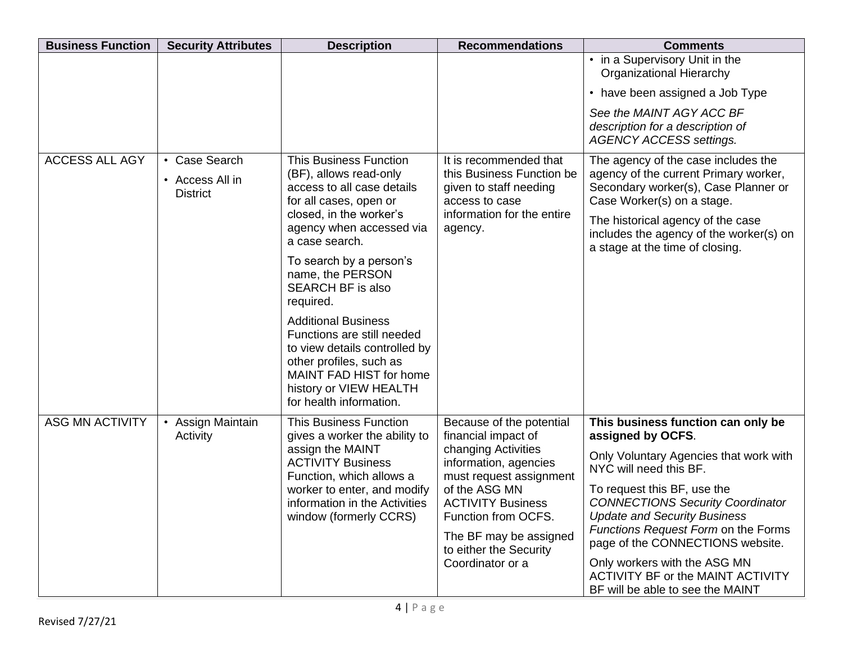| <b>Business Function</b> | <b>Security Attributes</b>         | <b>Description</b>                                                                                                                                                                                   | <b>Recommendations</b>                                                  | <b>Comments</b>                                                                                                 |
|--------------------------|------------------------------------|------------------------------------------------------------------------------------------------------------------------------------------------------------------------------------------------------|-------------------------------------------------------------------------|-----------------------------------------------------------------------------------------------------------------|
|                          |                                    |                                                                                                                                                                                                      |                                                                         | • in a Supervisory Unit in the<br><b>Organizational Hierarchy</b>                                               |
|                          |                                    |                                                                                                                                                                                                      |                                                                         | • have been assigned a Job Type                                                                                 |
|                          |                                    |                                                                                                                                                                                                      |                                                                         | See the MAINT AGY ACC BF<br>description for a description of<br><b>AGENCY ACCESS settings.</b>                  |
| <b>ACCESS ALL AGY</b>    | • Case Search                      | <b>This Business Function</b>                                                                                                                                                                        | It is recommended that                                                  | The agency of the case includes the                                                                             |
|                          | • Access All in<br><b>District</b> | (BF), allows read-only<br>access to all case details<br>for all cases, open or                                                                                                                       | this Business Function be<br>given to staff needing<br>access to case   | agency of the current Primary worker,<br>Secondary worker(s), Case Planner or<br>Case Worker(s) on a stage.     |
|                          |                                    | closed, in the worker's<br>agency when accessed via<br>a case search.                                                                                                                                | information for the entire<br>agency.                                   | The historical agency of the case<br>includes the agency of the worker(s) on<br>a stage at the time of closing. |
|                          |                                    | To search by a person's<br>name, the PERSON<br><b>SEARCH BF is also</b><br>required.                                                                                                                 |                                                                         |                                                                                                                 |
|                          |                                    | <b>Additional Business</b><br>Functions are still needed<br>to view details controlled by<br>other profiles, such as<br>MAINT FAD HIST for home<br>history or VIEW HEALTH<br>for health information. |                                                                         |                                                                                                                 |
| <b>ASG MN ACTIVITY</b>   | • Assign Maintain<br>Activity      | <b>This Business Function</b><br>gives a worker the ability to                                                                                                                                       | Because of the potential<br>financial impact of                         | This business function can only be<br>assigned by OCFS.                                                         |
|                          |                                    | assign the MAINT<br><b>ACTIVITY Business</b><br>Function, which allows a                                                                                                                             | changing Activities<br>information, agencies<br>must request assignment | Only Voluntary Agencies that work with<br>NYC will need this BF.                                                |
|                          |                                    | worker to enter, and modify<br>information in the Activities                                                                                                                                         | of the ASG MN<br><b>ACTIVITY Business</b>                               | To request this BF, use the<br><b>CONNECTIONS Security Coordinator</b>                                          |
|                          |                                    | window (formerly CCRS)                                                                                                                                                                               | Function from OCFS.                                                     | <b>Update and Security Business</b><br>Functions Request Form on the Forms                                      |
|                          |                                    |                                                                                                                                                                                                      | The BF may be assigned<br>to either the Security                        | page of the CONNECTIONS website.                                                                                |
|                          |                                    |                                                                                                                                                                                                      | Coordinator or a                                                        | Only workers with the ASG MN<br><b>ACTIVITY BF or the MAINT ACTIVITY</b><br>BF will be able to see the MAINT    |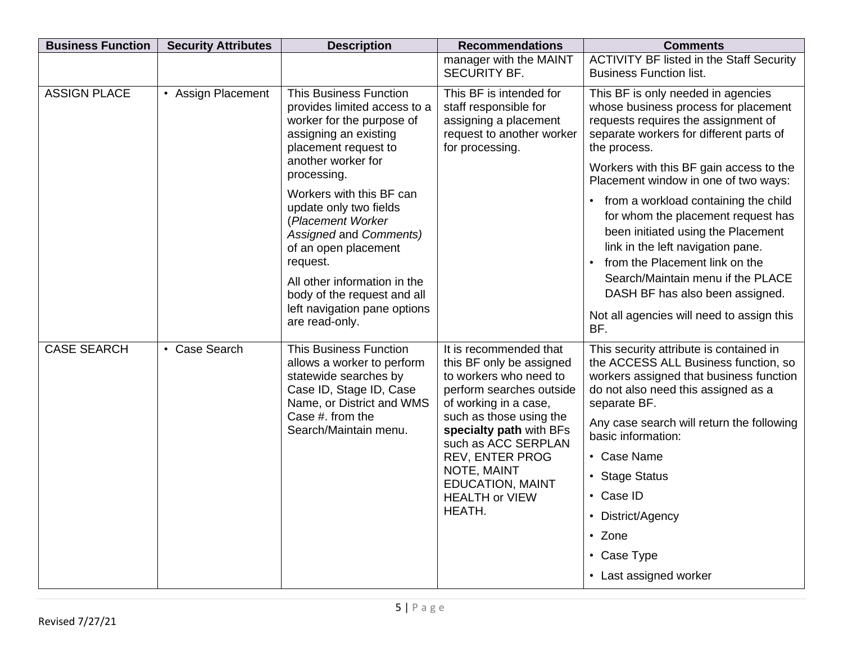| <b>Business Function</b> | <b>Security Attributes</b> | <b>Description</b>                                                                                                                                                                                                                                                                                                                                                                                                                         | <b>Recommendations</b>                                                                                                                                                                                                                                                                                                | <b>Comments</b>                                                                                                                                                                                                                                                                                                                                                                                                                                                                                                                                                                   |
|--------------------------|----------------------------|--------------------------------------------------------------------------------------------------------------------------------------------------------------------------------------------------------------------------------------------------------------------------------------------------------------------------------------------------------------------------------------------------------------------------------------------|-----------------------------------------------------------------------------------------------------------------------------------------------------------------------------------------------------------------------------------------------------------------------------------------------------------------------|-----------------------------------------------------------------------------------------------------------------------------------------------------------------------------------------------------------------------------------------------------------------------------------------------------------------------------------------------------------------------------------------------------------------------------------------------------------------------------------------------------------------------------------------------------------------------------------|
|                          |                            |                                                                                                                                                                                                                                                                                                                                                                                                                                            | manager with the MAINT<br><b>SECURITY BF.</b>                                                                                                                                                                                                                                                                         | <b>ACTIVITY BF listed in the Staff Security</b><br><b>Business Function list.</b>                                                                                                                                                                                                                                                                                                                                                                                                                                                                                                 |
| <b>ASSIGN PLACE</b>      | • Assign Placement         | <b>This Business Function</b><br>provides limited access to a<br>worker for the purpose of<br>assigning an existing<br>placement request to<br>another worker for<br>processing.<br>Workers with this BF can<br>update only two fields<br>(Placement Worker<br>Assigned and Comments)<br>of an open placement<br>request.<br>All other information in the<br>body of the request and all<br>left navigation pane options<br>are read-only. | This BF is intended for<br>staff responsible for<br>assigning a placement<br>request to another worker<br>for processing.                                                                                                                                                                                             | This BF is only needed in agencies<br>whose business process for placement<br>requests requires the assignment of<br>separate workers for different parts of<br>the process.<br>Workers with this BF gain access to the<br>Placement window in one of two ways:<br>• from a workload containing the child<br>for whom the placement request has<br>been initiated using the Placement<br>link in the left navigation pane.<br>from the Placement link on the<br>Search/Maintain menu if the PLACE<br>DASH BF has also been assigned.<br>Not all agencies will need to assign this |
| <b>CASE SEARCH</b>       | • Case Search              | <b>This Business Function</b><br>allows a worker to perform<br>statewide searches by<br>Case ID, Stage ID, Case<br>Name, or District and WMS<br>Case #. from the<br>Search/Maintain menu.                                                                                                                                                                                                                                                  | It is recommended that<br>this BF only be assigned<br>to workers who need to<br>perform searches outside<br>of working in a case,<br>such as those using the<br>specialty path with BFs<br>such as ACC SERPLAN<br><b>REV, ENTER PROG</b><br>NOTE, MAINT<br><b>EDUCATION, MAINT</b><br><b>HEALTH or VIEW</b><br>HEATH. | BF.<br>This security attribute is contained in<br>the ACCESS ALL Business function, so<br>workers assigned that business function<br>do not also need this assigned as a<br>separate BF.<br>Any case search will return the following<br>basic information:<br>• Case Name<br>• Stage Status<br>• Case ID<br>• District/Agency<br>• Zone<br>• Case Type<br>• Last assigned worker                                                                                                                                                                                                 |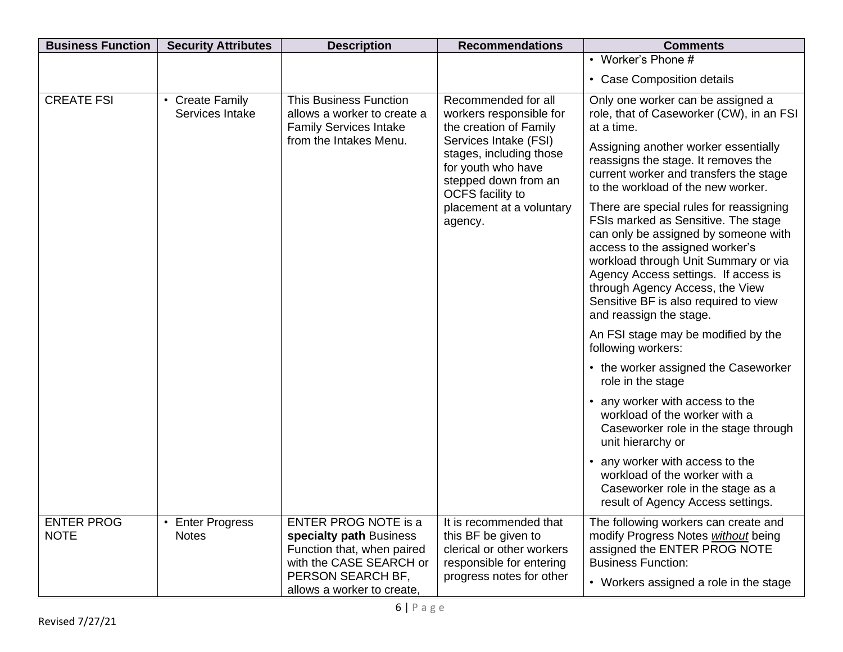| <b>Business Function</b>         | <b>Security Attributes</b>                           | <b>Description</b>                                                                                                                   | <b>Recommendations</b>                                                                                                                                                                                                                       | <b>Comments</b>                                                                                                                                                                                                                                                                                                                                                                                                                                                                                                                                                                                                |
|----------------------------------|------------------------------------------------------|--------------------------------------------------------------------------------------------------------------------------------------|----------------------------------------------------------------------------------------------------------------------------------------------------------------------------------------------------------------------------------------------|----------------------------------------------------------------------------------------------------------------------------------------------------------------------------------------------------------------------------------------------------------------------------------------------------------------------------------------------------------------------------------------------------------------------------------------------------------------------------------------------------------------------------------------------------------------------------------------------------------------|
|                                  |                                                      |                                                                                                                                      |                                                                                                                                                                                                                                              | • Worker's Phone #                                                                                                                                                                                                                                                                                                                                                                                                                                                                                                                                                                                             |
|                                  |                                                      |                                                                                                                                      |                                                                                                                                                                                                                                              | • Case Composition details                                                                                                                                                                                                                                                                                                                                                                                                                                                                                                                                                                                     |
| <b>CREATE FSI</b>                | <b>Create Family</b><br>$\bullet$<br>Services Intake | <b>This Business Function</b><br>allows a worker to create a<br><b>Family Services Intake</b><br>from the Intakes Menu.              | Recommended for all<br>workers responsible for<br>the creation of Family<br>Services Intake (FSI)<br>stages, including those<br>for youth who have<br>stepped down from an<br><b>OCFS</b> facility to<br>placement at a voluntary<br>agency. | Only one worker can be assigned a<br>role, that of Caseworker (CW), in an FSI<br>at a time.<br>Assigning another worker essentially<br>reassigns the stage. It removes the<br>current worker and transfers the stage<br>to the workload of the new worker.<br>There are special rules for reassigning<br>FSIs marked as Sensitive. The stage<br>can only be assigned by someone with<br>access to the assigned worker's<br>workload through Unit Summary or via<br>Agency Access settings. If access is<br>through Agency Access, the View<br>Sensitive BF is also required to view<br>and reassign the stage. |
|                                  |                                                      |                                                                                                                                      |                                                                                                                                                                                                                                              | An FSI stage may be modified by the<br>following workers:                                                                                                                                                                                                                                                                                                                                                                                                                                                                                                                                                      |
|                                  |                                                      |                                                                                                                                      |                                                                                                                                                                                                                                              | • the worker assigned the Caseworker<br>role in the stage                                                                                                                                                                                                                                                                                                                                                                                                                                                                                                                                                      |
|                                  |                                                      |                                                                                                                                      |                                                                                                                                                                                                                                              | • any worker with access to the<br>workload of the worker with a<br>Caseworker role in the stage through<br>unit hierarchy or                                                                                                                                                                                                                                                                                                                                                                                                                                                                                  |
|                                  |                                                      |                                                                                                                                      |                                                                                                                                                                                                                                              | • any worker with access to the<br>workload of the worker with a<br>Caseworker role in the stage as a<br>result of Agency Access settings.                                                                                                                                                                                                                                                                                                                                                                                                                                                                     |
| <b>ENTER PROG</b><br><b>NOTE</b> | <b>Enter Progress</b><br>$\bullet$<br><b>Notes</b>   | <b>ENTER PROG NOTE is a</b><br>specialty path Business<br>Function that, when paired<br>with the CASE SEARCH or<br>PERSON SEARCH BF, | It is recommended that<br>this BF be given to<br>clerical or other workers<br>responsible for entering<br>progress notes for other                                                                                                           | The following workers can create and<br>modify Progress Notes without being<br>assigned the ENTER PROG NOTE<br><b>Business Function:</b><br>• Workers assigned a role in the stage                                                                                                                                                                                                                                                                                                                                                                                                                             |
|                                  |                                                      | allows a worker to create,                                                                                                           |                                                                                                                                                                                                                                              |                                                                                                                                                                                                                                                                                                                                                                                                                                                                                                                                                                                                                |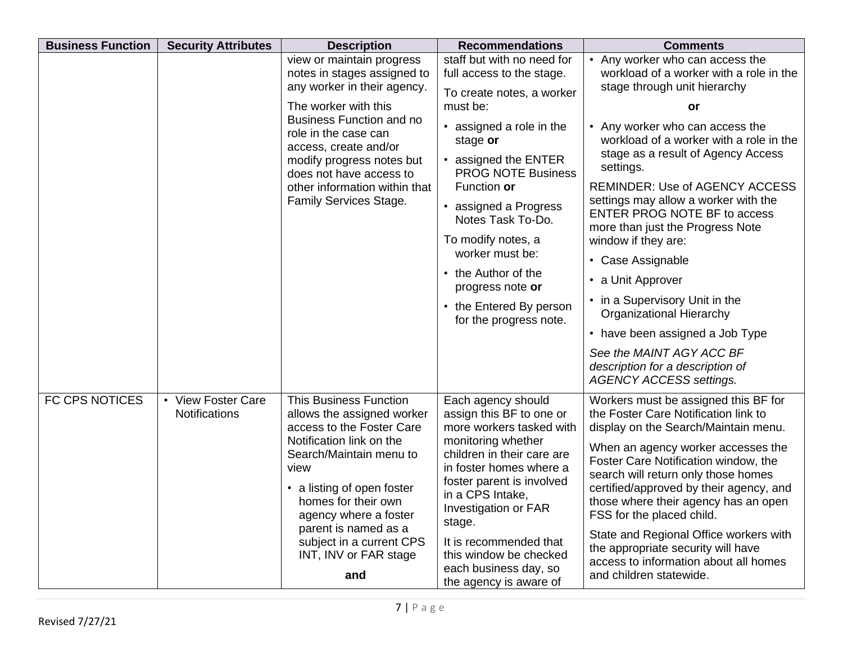| <b>Business Function</b> | <b>Security Attributes</b>                 | <b>Description</b>                                                                                                                                                                                                                                                                                                        | <b>Recommendations</b>                                                                                                                                                                                                                                                                                                                              | <b>Comments</b>                                                                                                                                                                                                                                                                                                                                                                                                                                                                                                                                               |
|--------------------------|--------------------------------------------|---------------------------------------------------------------------------------------------------------------------------------------------------------------------------------------------------------------------------------------------------------------------------------------------------------------------------|-----------------------------------------------------------------------------------------------------------------------------------------------------------------------------------------------------------------------------------------------------------------------------------------------------------------------------------------------------|---------------------------------------------------------------------------------------------------------------------------------------------------------------------------------------------------------------------------------------------------------------------------------------------------------------------------------------------------------------------------------------------------------------------------------------------------------------------------------------------------------------------------------------------------------------|
|                          |                                            | view or maintain progress<br>notes in stages assigned to<br>any worker in their agency.<br>The worker with this                                                                                                                                                                                                           | staff but with no need for<br>full access to the stage.<br>To create notes, a worker<br>must be:                                                                                                                                                                                                                                                    | • Any worker who can access the<br>workload of a worker with a role in the<br>stage through unit hierarchy<br>or                                                                                                                                                                                                                                                                                                                                                                                                                                              |
|                          |                                            | <b>Business Function and no</b><br>role in the case can<br>access, create and/or<br>modify progress notes but<br>does not have access to<br>other information within that<br>Family Services Stage.                                                                                                                       | • assigned a role in the<br>stage or<br>• assigned the ENTER<br><b>PROG NOTE Business</b><br>Function or<br>• assigned a Progress<br>Notes Task To-Do.<br>To modify notes, a<br>worker must be:<br>• the Author of the<br>progress note or<br>• the Entered By person<br>for the progress note.                                                     | • Any worker who can access the<br>workload of a worker with a role in the<br>stage as a result of Agency Access<br>settings.<br><b>REMINDER: Use of AGENCY ACCESS</b><br>settings may allow a worker with the<br>ENTER PROG NOTE BF to access<br>more than just the Progress Note<br>window if they are:<br>• Case Assignable<br>• a Unit Approver<br>• in a Supervisory Unit in the<br><b>Organizational Hierarchy</b><br>• have been assigned a Job Type<br>See the MAINT AGY ACC BF<br>description for a description of<br><b>AGENCY ACCESS settings.</b> |
| FC CPS NOTICES           | • View Foster Care<br><b>Notifications</b> | <b>This Business Function</b><br>allows the assigned worker<br>access to the Foster Care<br>Notification link on the<br>Search/Maintain menu to<br>view<br>• a listing of open foster<br>homes for their own<br>agency where a foster<br>parent is named as a<br>subject in a current CPS<br>INT, INV or FAR stage<br>and | Each agency should<br>assign this BF to one or<br>more workers tasked with<br>monitoring whether<br>children in their care are<br>in foster homes where a<br>foster parent is involved<br>in a CPS Intake,<br>Investigation or FAR<br>stage.<br>It is recommended that<br>this window be checked<br>each business day, so<br>the agency is aware of | Workers must be assigned this BF for<br>the Foster Care Notification link to<br>display on the Search/Maintain menu.<br>When an agency worker accesses the<br>Foster Care Notification window, the<br>search will return only those homes<br>certified/approved by their agency, and<br>those where their agency has an open<br>FSS for the placed child.<br>State and Regional Office workers with<br>the appropriate security will have<br>access to information about all homes<br>and children statewide.                                                 |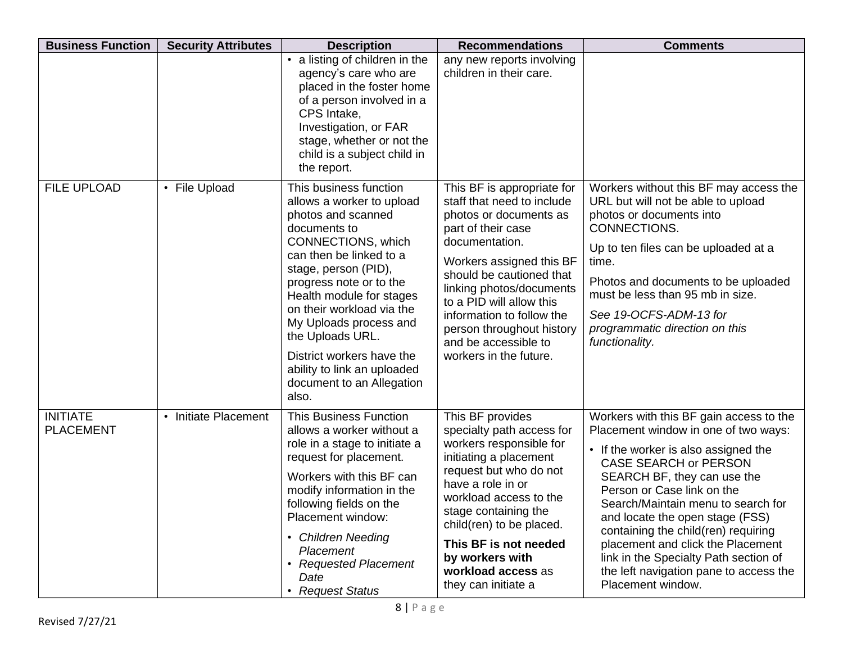| <b>Business Function</b>            | <b>Security Attributes</b> | <b>Description</b>                                                                                                                                                                                                                                                                                                                                                                                     | <b>Recommendations</b>                                                                                                                                                                                                                                                                                                                                 | <b>Comments</b>                                                                                                                                                                                                                                                                                                                                                                                                                                                                   |
|-------------------------------------|----------------------------|--------------------------------------------------------------------------------------------------------------------------------------------------------------------------------------------------------------------------------------------------------------------------------------------------------------------------------------------------------------------------------------------------------|--------------------------------------------------------------------------------------------------------------------------------------------------------------------------------------------------------------------------------------------------------------------------------------------------------------------------------------------------------|-----------------------------------------------------------------------------------------------------------------------------------------------------------------------------------------------------------------------------------------------------------------------------------------------------------------------------------------------------------------------------------------------------------------------------------------------------------------------------------|
|                                     |                            | • a listing of children in the<br>agency's care who are<br>placed in the foster home<br>of a person involved in a<br>CPS Intake,<br>Investigation, or FAR<br>stage, whether or not the<br>child is a subject child in<br>the report.                                                                                                                                                                   | any new reports involving<br>children in their care.                                                                                                                                                                                                                                                                                                   |                                                                                                                                                                                                                                                                                                                                                                                                                                                                                   |
| <b>FILE UPLOAD</b>                  | • File Upload              | This business function<br>allows a worker to upload<br>photos and scanned<br>documents to<br>CONNECTIONS, which<br>can then be linked to a<br>stage, person (PID),<br>progress note or to the<br>Health module for stages<br>on their workload via the<br>My Uploads process and<br>the Uploads URL.<br>District workers have the<br>ability to link an uploaded<br>document to an Allegation<br>also. | This BF is appropriate for<br>staff that need to include<br>photos or documents as<br>part of their case<br>documentation.<br>Workers assigned this BF<br>should be cautioned that<br>linking photos/documents<br>to a PID will allow this<br>information to follow the<br>person throughout history<br>and be accessible to<br>workers in the future. | Workers without this BF may access the<br>URL but will not be able to upload<br>photos or documents into<br>CONNECTIONS.<br>Up to ten files can be uploaded at a<br>time.<br>Photos and documents to be uploaded<br>must be less than 95 mb in size.<br>See 19-OCFS-ADM-13 for<br>programmatic direction on this<br>functionality.                                                                                                                                                |
| <b>INITIATE</b><br><b>PLACEMENT</b> | • Initiate Placement       | <b>This Business Function</b><br>allows a worker without a<br>role in a stage to initiate a<br>request for placement.<br>Workers with this BF can<br>modify information in the<br>following fields on the<br>Placement window:<br>• Children Needing<br>Placement<br><b>Requested Placement</b><br>Date<br><b>Request Status</b>                                                                       | This BF provides<br>specialty path access for<br>workers responsible for<br>initiating a placement<br>request but who do not<br>have a role in or<br>workload access to the<br>stage containing the<br>child(ren) to be placed.<br>This BF is not needed<br>by workers with<br>workload access as<br>they can initiate a                               | Workers with this BF gain access to the<br>Placement window in one of two ways:<br>• If the worker is also assigned the<br><b>CASE SEARCH or PERSON</b><br>SEARCH BF, they can use the<br>Person or Case link on the<br>Search/Maintain menu to search for<br>and locate the open stage (FSS)<br>containing the child(ren) requiring<br>placement and click the Placement<br>link in the Specialty Path section of<br>the left navigation pane to access the<br>Placement window. |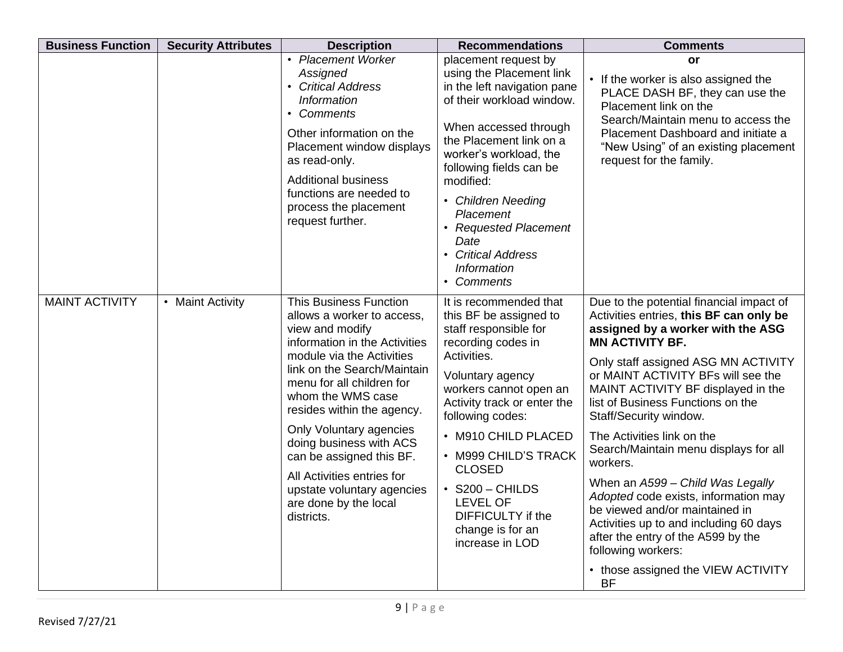| <b>Business Function</b> | <b>Security Attributes</b> | <b>Description</b>                                                                                                                                                                                                                                                                                                                                                                                                                               | <b>Recommendations</b>                                                                                                                                                                                                                                                                                                                                                                         | <b>Comments</b>                                                                                                                                                                                                                                                                                                                                                                                                                                                                                                                                                                                                                                                                                |
|--------------------------|----------------------------|--------------------------------------------------------------------------------------------------------------------------------------------------------------------------------------------------------------------------------------------------------------------------------------------------------------------------------------------------------------------------------------------------------------------------------------------------|------------------------------------------------------------------------------------------------------------------------------------------------------------------------------------------------------------------------------------------------------------------------------------------------------------------------------------------------------------------------------------------------|------------------------------------------------------------------------------------------------------------------------------------------------------------------------------------------------------------------------------------------------------------------------------------------------------------------------------------------------------------------------------------------------------------------------------------------------------------------------------------------------------------------------------------------------------------------------------------------------------------------------------------------------------------------------------------------------|
|                          |                            | • Placement Worker<br>Assigned<br>• Critical Address<br><b>Information</b><br>• Comments<br>Other information on the<br>Placement window displays<br>as read-only.<br><b>Additional business</b><br>functions are needed to<br>process the placement<br>request further.                                                                                                                                                                         | placement request by<br>using the Placement link<br>in the left navigation pane<br>of their workload window.<br>When accessed through<br>the Placement link on a<br>worker's workload, the<br>following fields can be<br>modified:<br>• Children Needing<br>Placement<br>• Requested Placement<br>Date<br>• Critical Address<br>Information<br>• Comments                                      | or<br>• If the worker is also assigned the<br>PLACE DASH BF, they can use the<br>Placement link on the<br>Search/Maintain menu to access the<br>Placement Dashboard and initiate a<br>"New Using" of an existing placement<br>request for the family.                                                                                                                                                                                                                                                                                                                                                                                                                                          |
| <b>MAINT ACTIVITY</b>    | <b>Maint Activity</b>      | <b>This Business Function</b><br>allows a worker to access,<br>view and modify<br>information in the Activities<br>module via the Activities<br>link on the Search/Maintain<br>menu for all children for<br>whom the WMS case<br>resides within the agency.<br>Only Voluntary agencies<br>doing business with ACS<br>can be assigned this BF.<br>All Activities entries for<br>upstate voluntary agencies<br>are done by the local<br>districts. | It is recommended that<br>this BF be assigned to<br>staff responsible for<br>recording codes in<br>Activities.<br>Voluntary agency<br>workers cannot open an<br>Activity track or enter the<br>following codes:<br>• M910 CHILD PLACED<br>• M999 CHILD'S TRACK<br><b>CLOSED</b><br>$\cdot$ S200 - CHILDS<br><b>LEVEL OF</b><br><b>DIFFICULTY</b> if the<br>change is for an<br>increase in LOD | Due to the potential financial impact of<br>Activities entries, this BF can only be<br>assigned by a worker with the ASG<br><b>MN ACTIVITY BF.</b><br>Only staff assigned ASG MN ACTIVITY<br>or MAINT ACTIVITY BFs will see the<br>MAINT ACTIVITY BF displayed in the<br>list of Business Functions on the<br>Staff/Security window.<br>The Activities link on the<br>Search/Maintain menu displays for all<br>workers.<br>When an A599 - Child Was Legally<br>Adopted code exists, information may<br>be viewed and/or maintained in<br>Activities up to and including 60 days<br>after the entry of the A599 by the<br>following workers:<br>• those assigned the VIEW ACTIVITY<br><b>BF</b> |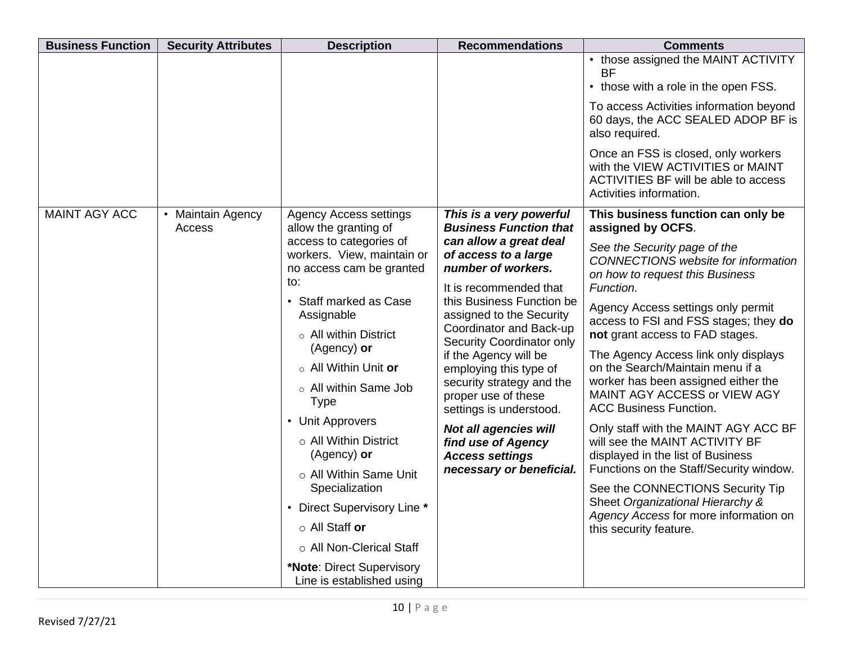| <b>Business Function</b> | <b>Security Attributes</b>  | <b>Description</b>                                                                                                                                                                                                                                                                                                                        | <b>Recommendations</b>                                                                                                                                                                                                                                                                                                                                                                                                            | <b>Comments</b>                                                                                                                                                                                                                                                                                                                                                                                                                                                                                                                                 |
|--------------------------|-----------------------------|-------------------------------------------------------------------------------------------------------------------------------------------------------------------------------------------------------------------------------------------------------------------------------------------------------------------------------------------|-----------------------------------------------------------------------------------------------------------------------------------------------------------------------------------------------------------------------------------------------------------------------------------------------------------------------------------------------------------------------------------------------------------------------------------|-------------------------------------------------------------------------------------------------------------------------------------------------------------------------------------------------------------------------------------------------------------------------------------------------------------------------------------------------------------------------------------------------------------------------------------------------------------------------------------------------------------------------------------------------|
|                          |                             |                                                                                                                                                                                                                                                                                                                                           |                                                                                                                                                                                                                                                                                                                                                                                                                                   | • those assigned the MAINT ACTIVITY<br><b>BF</b><br>• those with a role in the open FSS.<br>To access Activities information beyond<br>60 days, the ACC SEALED ADOP BF is                                                                                                                                                                                                                                                                                                                                                                       |
|                          |                             |                                                                                                                                                                                                                                                                                                                                           |                                                                                                                                                                                                                                                                                                                                                                                                                                   | also required.<br>Once an FSS is closed, only workers<br>with the VIEW ACTIVITIES or MAINT<br>ACTIVITIES BF will be able to access<br>Activities information.                                                                                                                                                                                                                                                                                                                                                                                   |
| <b>MAINT AGY ACC</b>     | • Maintain Agency<br>Access | <b>Agency Access settings</b>                                                                                                                                                                                                                                                                                                             | This is a very powerful<br><b>Business Function that</b>                                                                                                                                                                                                                                                                                                                                                                          | This business function can only be<br>assigned by OCFS.                                                                                                                                                                                                                                                                                                                                                                                                                                                                                         |
|                          |                             | allow the granting of<br>access to categories of<br>workers. View, maintain or<br>no access cam be granted<br>to:<br>• Staff marked as Case<br>Assignable<br>$\circ$ All within District<br>(Agency) or<br>o All Within Unit or<br>o All within Same Job<br><b>Type</b><br>• Unit Approvers<br>$\circ$ All Within District<br>(Agency) or | can allow a great deal<br>of access to a large<br>number of workers.<br>It is recommended that<br>this Business Function be<br>assigned to the Security<br>Coordinator and Back-up<br>Security Coordinator only<br>if the Agency will be<br>employing this type of<br>security strategy and the<br>proper use of these<br>settings is understood.<br><b>Not all agencies will</b><br>find use of Agency<br><b>Access settings</b> | See the Security page of the<br><b>CONNECTIONS</b> website for information<br>on how to request this Business<br>Function.<br>Agency Access settings only permit<br>access to FSI and FSS stages; they do<br>not grant access to FAD stages.<br>The Agency Access link only displays<br>on the Search/Maintain menu if a<br>worker has been assigned either the<br>MAINT AGY ACCESS or VIEW AGY<br><b>ACC Business Function.</b><br>Only staff with the MAINT AGY ACC BF<br>will see the MAINT ACTIVITY BF<br>displayed in the list of Business |
|                          |                             | ○ All Within Same Unit                                                                                                                                                                                                                                                                                                                    | necessary or beneficial.                                                                                                                                                                                                                                                                                                                                                                                                          | Functions on the Staff/Security window.                                                                                                                                                                                                                                                                                                                                                                                                                                                                                                         |
|                          |                             | Specialization<br>• Direct Supervisory Line *                                                                                                                                                                                                                                                                                             |                                                                                                                                                                                                                                                                                                                                                                                                                                   | See the CONNECTIONS Security Tip<br>Sheet Organizational Hierarchy &<br>Agency Access for more information on                                                                                                                                                                                                                                                                                                                                                                                                                                   |
|                          |                             | o All Staff or                                                                                                                                                                                                                                                                                                                            |                                                                                                                                                                                                                                                                                                                                                                                                                                   | this security feature.                                                                                                                                                                                                                                                                                                                                                                                                                                                                                                                          |
|                          |                             | o All Non-Clerical Staff                                                                                                                                                                                                                                                                                                                  |                                                                                                                                                                                                                                                                                                                                                                                                                                   |                                                                                                                                                                                                                                                                                                                                                                                                                                                                                                                                                 |
|                          |                             | *Note: Direct Supervisory<br>Line is established using                                                                                                                                                                                                                                                                                    |                                                                                                                                                                                                                                                                                                                                                                                                                                   |                                                                                                                                                                                                                                                                                                                                                                                                                                                                                                                                                 |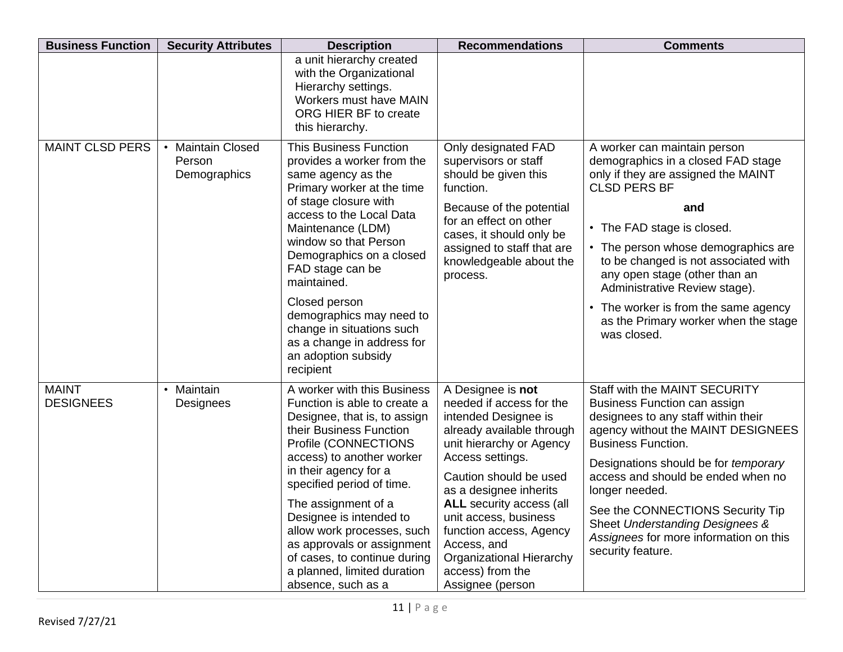| <b>Business Function</b>         | <b>Security Attributes</b>                       | <b>Description</b>                                                                                                                                                                                                                                                                                                                                                                                                                   | <b>Recommendations</b>                                                                                                                                                                                                                                                                                                                                                                  | <b>Comments</b>                                                                                                                                                                                                                                                                                                                                                                                                       |
|----------------------------------|--------------------------------------------------|--------------------------------------------------------------------------------------------------------------------------------------------------------------------------------------------------------------------------------------------------------------------------------------------------------------------------------------------------------------------------------------------------------------------------------------|-----------------------------------------------------------------------------------------------------------------------------------------------------------------------------------------------------------------------------------------------------------------------------------------------------------------------------------------------------------------------------------------|-----------------------------------------------------------------------------------------------------------------------------------------------------------------------------------------------------------------------------------------------------------------------------------------------------------------------------------------------------------------------------------------------------------------------|
|                                  |                                                  | a unit hierarchy created<br>with the Organizational<br>Hierarchy settings.<br>Workers must have MAIN<br>ORG HIER BF to create<br>this hierarchy.                                                                                                                                                                                                                                                                                     |                                                                                                                                                                                                                                                                                                                                                                                         |                                                                                                                                                                                                                                                                                                                                                                                                                       |
| <b>MAINT CLSD PERS</b>           | <b>Maintain Closed</b><br>Person<br>Demographics | <b>This Business Function</b><br>provides a worker from the<br>same agency as the<br>Primary worker at the time<br>of stage closure with<br>access to the Local Data<br>Maintenance (LDM)<br>window so that Person<br>Demographics on a closed<br>FAD stage can be<br>maintained.<br>Closed person<br>demographics may need to<br>change in situations such<br>as a change in address for<br>an adoption subsidy<br>recipient        | Only designated FAD<br>supervisors or staff<br>should be given this<br>function.<br>Because of the potential<br>for an effect on other<br>cases, it should only be<br>assigned to staff that are<br>knowledgeable about the<br>process.                                                                                                                                                 | A worker can maintain person<br>demographics in a closed FAD stage<br>only if they are assigned the MAINT<br><b>CLSD PERS BF</b><br>and<br>• The FAD stage is closed.<br>• The person whose demographics are<br>to be changed is not associated with<br>any open stage (other than an<br>Administrative Review stage).<br>• The worker is from the same agency<br>as the Primary worker when the stage<br>was closed. |
| <b>MAINT</b><br><b>DESIGNEES</b> | Maintain<br>$\bullet$<br>Designees               | A worker with this Business<br>Function is able to create a<br>Designee, that is, to assign<br>their Business Function<br>Profile (CONNECTIONS<br>access) to another worker<br>in their agency for a<br>specified period of time.<br>The assignment of a<br>Designee is intended to<br>allow work processes, such<br>as approvals or assignment<br>of cases, to continue during<br>a planned, limited duration<br>absence, such as a | A Designee is not<br>needed if access for the<br>intended Designee is<br>already available through<br>unit hierarchy or Agency<br>Access settings.<br>Caution should be used<br>as a designee inherits<br><b>ALL</b> security access (all<br>unit access, business<br>function access, Agency<br>Access, and<br><b>Organizational Hierarchy</b><br>access) from the<br>Assignee (person | Staff with the MAINT SECURITY<br>Business Function can assign<br>designees to any staff within their<br>agency without the MAINT DESIGNEES<br><b>Business Function.</b><br>Designations should be for temporary<br>access and should be ended when no<br>longer needed.<br>See the CONNECTIONS Security Tip<br>Sheet Understanding Designees &<br>Assignees for more information on this<br>security feature.         |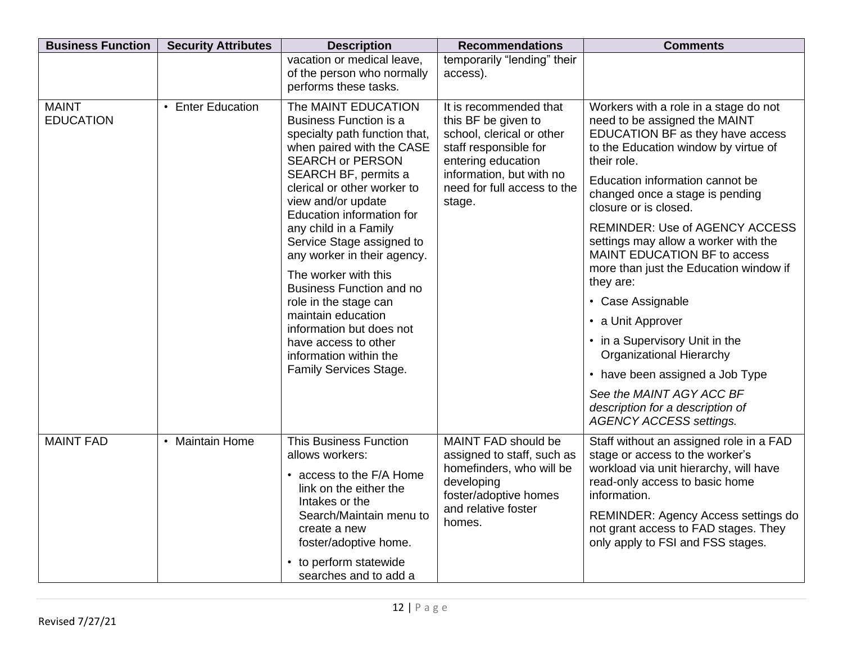| <b>Business Function</b>         | <b>Security Attributes</b> | <b>Description</b>                                                                                                                                                                                                                                                                                                                                                                                                                                                                                                                                             | <b>Recommendations</b>                                                                                                                                                                         | <b>Comments</b>                                                                                                                                                                                                                                                                                                                                                                                                                                                                                                                                                                                                                                                                              |
|----------------------------------|----------------------------|----------------------------------------------------------------------------------------------------------------------------------------------------------------------------------------------------------------------------------------------------------------------------------------------------------------------------------------------------------------------------------------------------------------------------------------------------------------------------------------------------------------------------------------------------------------|------------------------------------------------------------------------------------------------------------------------------------------------------------------------------------------------|----------------------------------------------------------------------------------------------------------------------------------------------------------------------------------------------------------------------------------------------------------------------------------------------------------------------------------------------------------------------------------------------------------------------------------------------------------------------------------------------------------------------------------------------------------------------------------------------------------------------------------------------------------------------------------------------|
|                                  |                            | vacation or medical leave,<br>of the person who normally<br>performs these tasks.                                                                                                                                                                                                                                                                                                                                                                                                                                                                              | temporarily "lending" their<br>access).                                                                                                                                                        |                                                                                                                                                                                                                                                                                                                                                                                                                                                                                                                                                                                                                                                                                              |
| <b>MAINT</b><br><b>EDUCATION</b> | • Enter Education          | The MAINT EDUCATION<br><b>Business Function is a</b><br>specialty path function that,<br>when paired with the CASE<br><b>SEARCH or PERSON</b><br>SEARCH BF, permits a<br>clerical or other worker to<br>view and/or update<br>Education information for<br>any child in a Family<br>Service Stage assigned to<br>any worker in their agency.<br>The worker with this<br><b>Business Function and no</b><br>role in the stage can<br>maintain education<br>information but does not<br>have access to other<br>information within the<br>Family Services Stage. | It is recommended that<br>this BF be given to<br>school, clerical or other<br>staff responsible for<br>entering education<br>information, but with no<br>need for full access to the<br>stage. | Workers with a role in a stage do not<br>need to be assigned the MAINT<br>EDUCATION BF as they have access<br>to the Education window by virtue of<br>their role.<br>Education information cannot be<br>changed once a stage is pending<br>closure or is closed.<br><b>REMINDER: Use of AGENCY ACCESS</b><br>settings may allow a worker with the<br>MAINT EDUCATION BF to access<br>more than just the Education window if<br>they are:<br>• Case Assignable<br>• a Unit Approver<br>• in a Supervisory Unit in the<br><b>Organizational Hierarchy</b><br>• have been assigned a Job Type<br>See the MAINT AGY ACC BF<br>description for a description of<br><b>AGENCY ACCESS settings.</b> |
| <b>MAINT FAD</b>                 | • Maintain Home            | <b>This Business Function</b><br>allows workers:<br>• access to the F/A Home<br>link on the either the<br>Intakes or the<br>Search/Maintain menu to<br>create a new<br>foster/adoptive home.<br>• to perform statewide<br>searches and to add a                                                                                                                                                                                                                                                                                                                | MAINT FAD should be<br>assigned to staff, such as<br>homefinders, who will be<br>developing<br>foster/adoptive homes<br>and relative foster<br>homes.                                          | Staff without an assigned role in a FAD<br>stage or access to the worker's<br>workload via unit hierarchy, will have<br>read-only access to basic home<br>information.<br>REMINDER: Agency Access settings do<br>not grant access to FAD stages. They<br>only apply to FSI and FSS stages.                                                                                                                                                                                                                                                                                                                                                                                                   |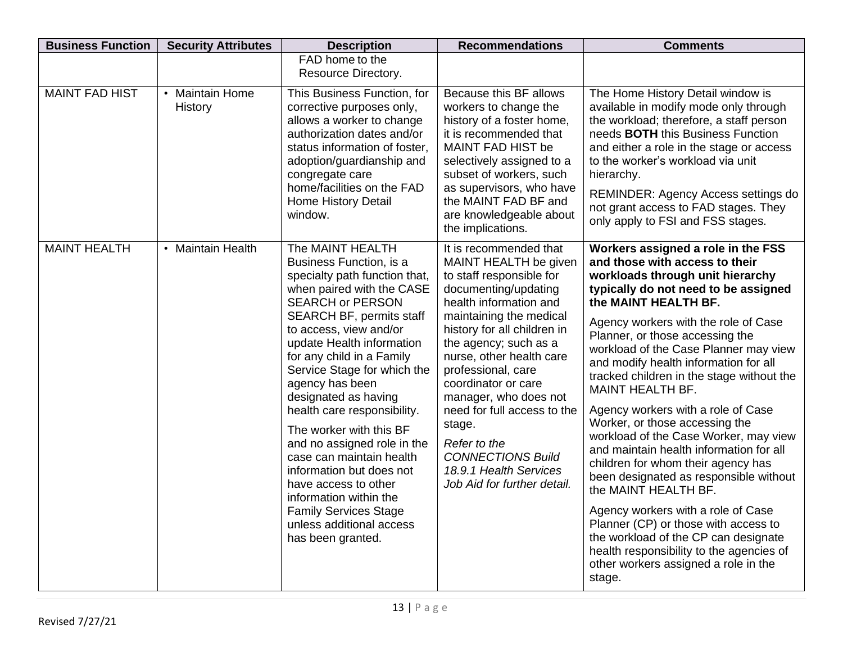| <b>Business Function</b> | <b>Security Attributes</b>                   | <b>Description</b>                                                                                                                                                                                                                                                                                                                                                                                                                                                                                                                                                                                                        | <b>Recommendations</b>                                                                                                                                                                                                                                                                                                                                                                                                                                           | <b>Comments</b>                                                                                                                                                                                                                                                                                                                                                                                                                                                                                                                                                                                                                                                                                                                                                                                                                                                                                |
|--------------------------|----------------------------------------------|---------------------------------------------------------------------------------------------------------------------------------------------------------------------------------------------------------------------------------------------------------------------------------------------------------------------------------------------------------------------------------------------------------------------------------------------------------------------------------------------------------------------------------------------------------------------------------------------------------------------------|------------------------------------------------------------------------------------------------------------------------------------------------------------------------------------------------------------------------------------------------------------------------------------------------------------------------------------------------------------------------------------------------------------------------------------------------------------------|------------------------------------------------------------------------------------------------------------------------------------------------------------------------------------------------------------------------------------------------------------------------------------------------------------------------------------------------------------------------------------------------------------------------------------------------------------------------------------------------------------------------------------------------------------------------------------------------------------------------------------------------------------------------------------------------------------------------------------------------------------------------------------------------------------------------------------------------------------------------------------------------|
|                          |                                              | FAD home to the<br>Resource Directory.                                                                                                                                                                                                                                                                                                                                                                                                                                                                                                                                                                                    |                                                                                                                                                                                                                                                                                                                                                                                                                                                                  |                                                                                                                                                                                                                                                                                                                                                                                                                                                                                                                                                                                                                                                                                                                                                                                                                                                                                                |
| <b>MAINT FAD HIST</b>    | <b>Maintain Home</b><br>$\bullet$<br>History | This Business Function, for<br>corrective purposes only,<br>allows a worker to change<br>authorization dates and/or<br>status information of foster,<br>adoption/guardianship and<br>congregate care<br>home/facilities on the FAD<br>Home History Detail<br>window.                                                                                                                                                                                                                                                                                                                                                      | Because this BF allows<br>workers to change the<br>history of a foster home,<br>it is recommended that<br><b>MAINT FAD HIST be</b><br>selectively assigned to a<br>subset of workers, such<br>as supervisors, who have<br>the MAINT FAD BF and<br>are knowledgeable about<br>the implications.                                                                                                                                                                   | The Home History Detail window is<br>available in modify mode only through<br>the workload; therefore, a staff person<br>needs <b>BOTH</b> this Business Function<br>and either a role in the stage or access<br>to the worker's workload via unit<br>hierarchy.<br>REMINDER: Agency Access settings do<br>not grant access to FAD stages. They<br>only apply to FSI and FSS stages.                                                                                                                                                                                                                                                                                                                                                                                                                                                                                                           |
| <b>MAINT HEALTH</b>      | • Maintain Health                            | The MAINT HEALTH<br>Business Function, is a<br>specialty path function that,<br>when paired with the CASE<br><b>SEARCH or PERSON</b><br><b>SEARCH BF, permits staff</b><br>to access, view and/or<br>update Health information<br>for any child in a Family<br>Service Stage for which the<br>agency has been<br>designated as having<br>health care responsibility.<br>The worker with this BF<br>and no assigned role in the<br>case can maintain health<br>information but does not<br>have access to other<br>information within the<br><b>Family Services Stage</b><br>unless additional access<br>has been granted. | It is recommended that<br>MAINT HEALTH be given<br>to staff responsible for<br>documenting/updating<br>health information and<br>maintaining the medical<br>history for all children in<br>the agency; such as a<br>nurse, other health care<br>professional, care<br>coordinator or care<br>manager, who does not<br>need for full access to the<br>stage.<br>Refer to the<br><b>CONNECTIONS Build</b><br>18.9.1 Health Services<br>Job Aid for further detail. | Workers assigned a role in the FSS<br>and those with access to their<br>workloads through unit hierarchy<br>typically do not need to be assigned<br>the MAINT HEALTH BF.<br>Agency workers with the role of Case<br>Planner, or those accessing the<br>workload of the Case Planner may view<br>and modify health information for all<br>tracked children in the stage without the<br>MAINT HEALTH BF.<br>Agency workers with a role of Case<br>Worker, or those accessing the<br>workload of the Case Worker, may view<br>and maintain health information for all<br>children for whom their agency has<br>been designated as responsible without<br>the MAINT HEALTH BF.<br>Agency workers with a role of Case<br>Planner (CP) or those with access to<br>the workload of the CP can designate<br>health responsibility to the agencies of<br>other workers assigned a role in the<br>stage. |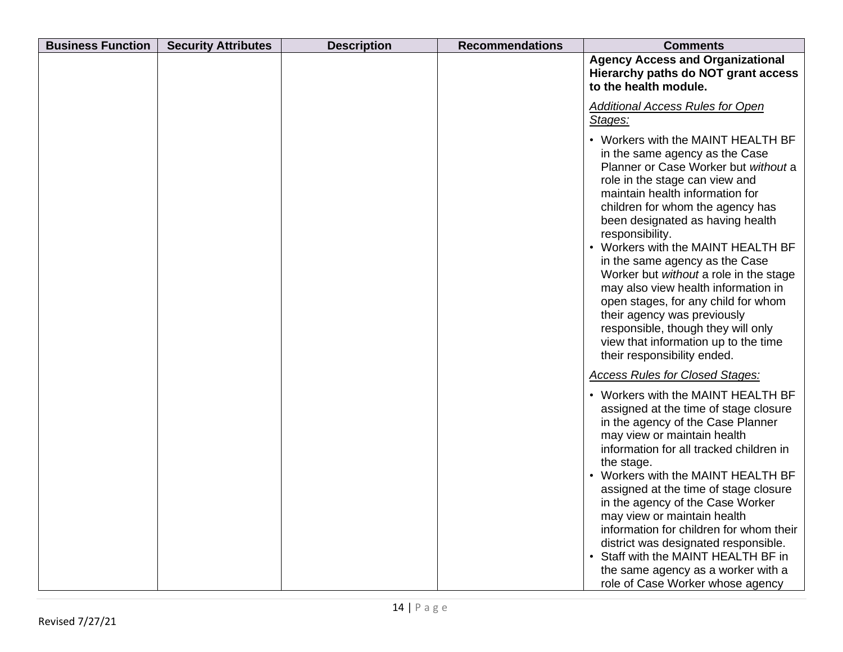| <b>Business Function</b> | <b>Security Attributes</b> | <b>Description</b> | <b>Recommendations</b> | <b>Comments</b>                                                                                                                                                                                                                                                                                                                                                                                                                                                                                                                                                                                                          |
|--------------------------|----------------------------|--------------------|------------------------|--------------------------------------------------------------------------------------------------------------------------------------------------------------------------------------------------------------------------------------------------------------------------------------------------------------------------------------------------------------------------------------------------------------------------------------------------------------------------------------------------------------------------------------------------------------------------------------------------------------------------|
|                          |                            |                    |                        | <b>Agency Access and Organizational</b><br>Hierarchy paths do NOT grant access<br>to the health module.                                                                                                                                                                                                                                                                                                                                                                                                                                                                                                                  |
|                          |                            |                    |                        | <b>Additional Access Rules for Open</b><br>Stages:                                                                                                                                                                                                                                                                                                                                                                                                                                                                                                                                                                       |
|                          |                            |                    |                        | • Workers with the MAINT HEALTH BF<br>in the same agency as the Case<br>Planner or Case Worker but without a<br>role in the stage can view and<br>maintain health information for<br>children for whom the agency has<br>been designated as having health<br>responsibility.<br>• Workers with the MAINT HEALTH BF<br>in the same agency as the Case<br>Worker but without a role in the stage<br>may also view health information in<br>open stages, for any child for whom<br>their agency was previously<br>responsible, though they will only<br>view that information up to the time<br>their responsibility ended. |
|                          |                            |                    |                        | <b>Access Rules for Closed Stages:</b>                                                                                                                                                                                                                                                                                                                                                                                                                                                                                                                                                                                   |
|                          |                            |                    |                        | • Workers with the MAINT HEALTH BF<br>assigned at the time of stage closure<br>in the agency of the Case Planner<br>may view or maintain health<br>information for all tracked children in<br>the stage.<br>• Workers with the MAINT HEALTH BF<br>assigned at the time of stage closure<br>in the agency of the Case Worker<br>may view or maintain health<br>information for children for whom their<br>district was designated responsible.<br>• Staff with the MAINT HEALTH BF in<br>the same agency as a worker with a<br>role of Case Worker whose agency                                                           |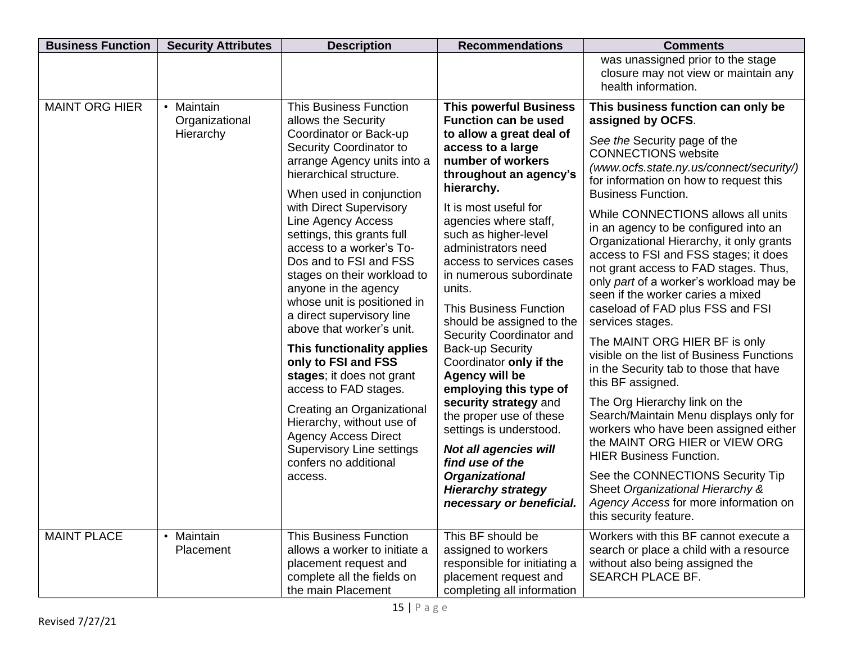| <b>Business Function</b> | <b>Security Attributes</b>   | <b>Description</b>                                                                                                                                                                                                                                                                                                                                                                                                                                                                                                                                                                                                                                                                                        | <b>Recommendations</b>                                                                                                                                                                                                                                                                                                                                                                                                                                                                                                                                                                                                                                                  | <b>Comments</b>                                                                                                                                                                                                                                                                                                                                                                                                                                                                                                                                                                                                                                                                                                                                                                                                                                                                                                                                 |
|--------------------------|------------------------------|-----------------------------------------------------------------------------------------------------------------------------------------------------------------------------------------------------------------------------------------------------------------------------------------------------------------------------------------------------------------------------------------------------------------------------------------------------------------------------------------------------------------------------------------------------------------------------------------------------------------------------------------------------------------------------------------------------------|-------------------------------------------------------------------------------------------------------------------------------------------------------------------------------------------------------------------------------------------------------------------------------------------------------------------------------------------------------------------------------------------------------------------------------------------------------------------------------------------------------------------------------------------------------------------------------------------------------------------------------------------------------------------------|-------------------------------------------------------------------------------------------------------------------------------------------------------------------------------------------------------------------------------------------------------------------------------------------------------------------------------------------------------------------------------------------------------------------------------------------------------------------------------------------------------------------------------------------------------------------------------------------------------------------------------------------------------------------------------------------------------------------------------------------------------------------------------------------------------------------------------------------------------------------------------------------------------------------------------------------------|
|                          |                              |                                                                                                                                                                                                                                                                                                                                                                                                                                                                                                                                                                                                                                                                                                           |                                                                                                                                                                                                                                                                                                                                                                                                                                                                                                                                                                                                                                                                         | was unassigned prior to the stage<br>closure may not view or maintain any<br>health information.                                                                                                                                                                                                                                                                                                                                                                                                                                                                                                                                                                                                                                                                                                                                                                                                                                                |
| <b>MAINT ORG HIER</b>    | • Maintain<br>Organizational | <b>This Business Function</b><br>allows the Security                                                                                                                                                                                                                                                                                                                                                                                                                                                                                                                                                                                                                                                      | <b>This powerful Business</b><br><b>Function can be used</b>                                                                                                                                                                                                                                                                                                                                                                                                                                                                                                                                                                                                            | This business function can only be<br>assigned by OCFS.                                                                                                                                                                                                                                                                                                                                                                                                                                                                                                                                                                                                                                                                                                                                                                                                                                                                                         |
|                          | Hierarchy                    | Coordinator or Back-up<br>Security Coordinator to<br>arrange Agency units into a<br>hierarchical structure.<br>When used in conjunction<br>with Direct Supervisory<br>Line Agency Access<br>settings, this grants full<br>access to a worker's To-<br>Dos and to FSI and FSS<br>stages on their workload to<br>anyone in the agency<br>whose unit is positioned in<br>a direct supervisory line<br>above that worker's unit.<br>This functionality applies<br>only to FSI and FSS<br>stages; it does not grant<br>access to FAD stages.<br>Creating an Organizational<br>Hierarchy, without use of<br><b>Agency Access Direct</b><br><b>Supervisory Line settings</b><br>confers no additional<br>access. | to allow a great deal of<br>access to a large<br>number of workers<br>throughout an agency's<br>hierarchy.<br>It is most useful for<br>agencies where staff,<br>such as higher-level<br>administrators need<br>access to services cases<br>in numerous subordinate<br>units.<br><b>This Business Function</b><br>should be assigned to the<br>Security Coordinator and<br><b>Back-up Security</b><br>Coordinator only if the<br><b>Agency will be</b><br>employing this type of<br>security strategy and<br>the proper use of these<br>settings is understood.<br><b>Not all agencies will</b><br>find use of the<br><b>Organizational</b><br><b>Hierarchy strategy</b> | See the Security page of the<br><b>CONNECTIONS</b> website<br>(www.ocfs.state.ny.us/connect/security/)<br>for information on how to request this<br><b>Business Function.</b><br>While CONNECTIONS allows all units<br>in an agency to be configured into an<br>Organizational Hierarchy, it only grants<br>access to FSI and FSS stages; it does<br>not grant access to FAD stages. Thus,<br>only part of a worker's workload may be<br>seen if the worker caries a mixed<br>caseload of FAD plus FSS and FSI<br>services stages.<br>The MAINT ORG HIER BF is only<br>visible on the list of Business Functions<br>in the Security tab to those that have<br>this BF assigned.<br>The Org Hierarchy link on the<br>Search/Maintain Menu displays only for<br>workers who have been assigned either<br>the MAINT ORG HIER or VIEW ORG<br><b>HIER Business Function.</b><br>See the CONNECTIONS Security Tip<br>Sheet Organizational Hierarchy & |
|                          |                              |                                                                                                                                                                                                                                                                                                                                                                                                                                                                                                                                                                                                                                                                                                           | necessary or beneficial.                                                                                                                                                                                                                                                                                                                                                                                                                                                                                                                                                                                                                                                | Agency Access for more information on<br>this security feature.                                                                                                                                                                                                                                                                                                                                                                                                                                                                                                                                                                                                                                                                                                                                                                                                                                                                                 |
| <b>MAINT PLACE</b>       | • Maintain<br>Placement      | <b>This Business Function</b><br>allows a worker to initiate a<br>placement request and<br>complete all the fields on<br>the main Placement                                                                                                                                                                                                                                                                                                                                                                                                                                                                                                                                                               | This BF should be<br>assigned to workers<br>responsible for initiating a<br>placement request and<br>completing all information                                                                                                                                                                                                                                                                                                                                                                                                                                                                                                                                         | Workers with this BF cannot execute a<br>search or place a child with a resource<br>without also being assigned the<br>SEARCH PLACE BF.                                                                                                                                                                                                                                                                                                                                                                                                                                                                                                                                                                                                                                                                                                                                                                                                         |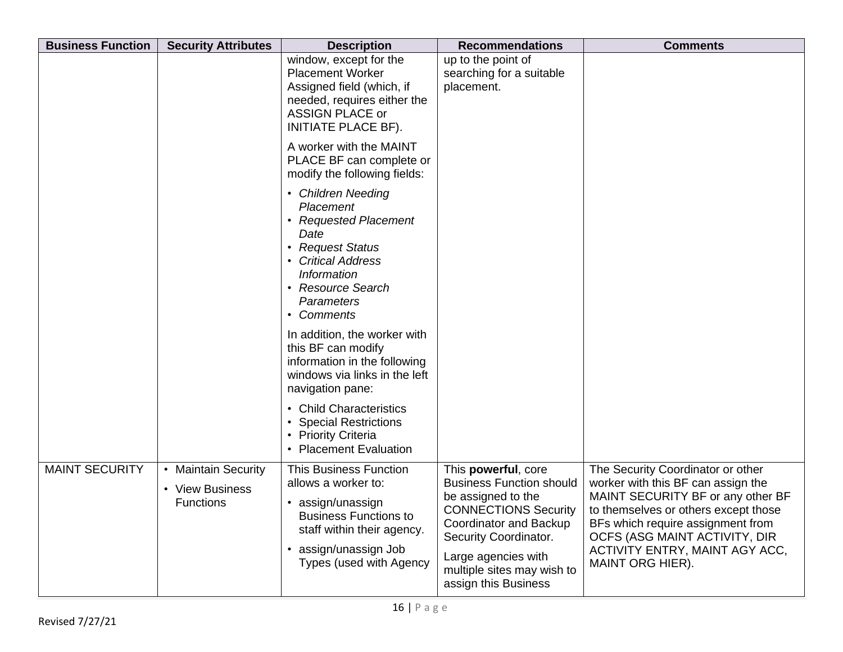| <b>Business Function</b> | <b>Security Attributes</b>                          | <b>Description</b>                                                                                                                                                                                            | <b>Recommendations</b>                                                                                                                                                                                                                      | <b>Comments</b>                                                                                                                                                                                                                                                                  |
|--------------------------|-----------------------------------------------------|---------------------------------------------------------------------------------------------------------------------------------------------------------------------------------------------------------------|---------------------------------------------------------------------------------------------------------------------------------------------------------------------------------------------------------------------------------------------|----------------------------------------------------------------------------------------------------------------------------------------------------------------------------------------------------------------------------------------------------------------------------------|
|                          |                                                     | window, except for the<br><b>Placement Worker</b><br>Assigned field (which, if<br>needed, requires either the<br><b>ASSIGN PLACE or</b><br>INITIATE PLACE BF).                                                | up to the point of<br>searching for a suitable<br>placement.                                                                                                                                                                                |                                                                                                                                                                                                                                                                                  |
|                          |                                                     | A worker with the MAINT<br>PLACE BF can complete or<br>modify the following fields:                                                                                                                           |                                                                                                                                                                                                                                             |                                                                                                                                                                                                                                                                                  |
|                          |                                                     | • Children Needing<br>Placement<br><b>Requested Placement</b><br>Date<br>• Request Status<br><b>Critical Address</b><br><b>Information</b><br><b>Resource Search</b><br>$\bullet$<br>Parameters<br>• Comments |                                                                                                                                                                                                                                             |                                                                                                                                                                                                                                                                                  |
|                          |                                                     | In addition, the worker with<br>this BF can modify<br>information in the following<br>windows via links in the left<br>navigation pane:                                                                       |                                                                                                                                                                                                                                             |                                                                                                                                                                                                                                                                                  |
|                          |                                                     | • Child Characteristics<br><b>Special Restrictions</b><br>• Priority Criteria<br>• Placement Evaluation                                                                                                       |                                                                                                                                                                                                                                             |                                                                                                                                                                                                                                                                                  |
| <b>MAINT SECURITY</b>    | • Maintain Security<br>• View Business<br>Functions | <b>This Business Function</b><br>allows a worker to:<br>• assign/unassign<br><b>Business Functions to</b><br>staff within their agency.<br>• assign/unassign Job<br>Types (used with Agency                   | This powerful, core<br><b>Business Function should</b><br>be assigned to the<br><b>CONNECTIONS Security</b><br>Coordinator and Backup<br>Security Coordinator.<br>Large agencies with<br>multiple sites may wish to<br>assign this Business | The Security Coordinator or other<br>worker with this BF can assign the<br>MAINT SECURITY BF or any other BF<br>to themselves or others except those<br>BFs which require assignment from<br>OCFS (ASG MAINT ACTIVITY, DIR<br>ACTIVITY ENTRY, MAINT AGY ACC,<br>MAINT ORG HIER). |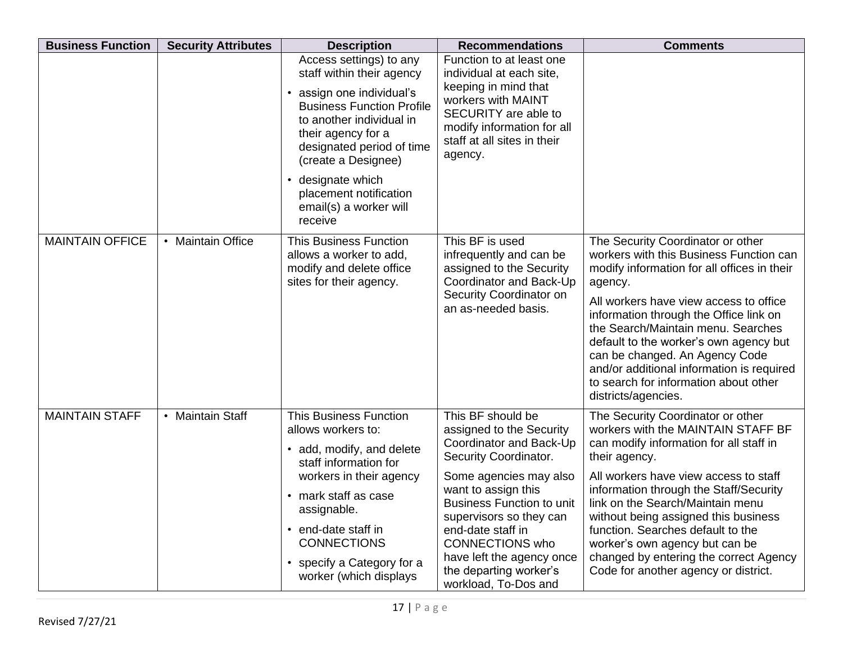| <b>Business Function</b> | <b>Security Attributes</b> | <b>Description</b>                                                                                                                                                                                                                                                                                                       | <b>Recommendations</b>                                                                                                                                                                                                                                                                                                                          | <b>Comments</b>                                                                                                                                                                                                                                                                                                                                                                                                                                             |
|--------------------------|----------------------------|--------------------------------------------------------------------------------------------------------------------------------------------------------------------------------------------------------------------------------------------------------------------------------------------------------------------------|-------------------------------------------------------------------------------------------------------------------------------------------------------------------------------------------------------------------------------------------------------------------------------------------------------------------------------------------------|-------------------------------------------------------------------------------------------------------------------------------------------------------------------------------------------------------------------------------------------------------------------------------------------------------------------------------------------------------------------------------------------------------------------------------------------------------------|
|                          |                            | Access settings) to any<br>staff within their agency<br>assign one individual's<br><b>Business Function Profile</b><br>to another individual in<br>their agency for a<br>designated period of time<br>(create a Designee)<br>designate which<br>$\bullet$<br>placement notification<br>email(s) a worker will<br>receive | Function to at least one<br>individual at each site,<br>keeping in mind that<br>workers with MAINT<br>SECURITY are able to<br>modify information for all<br>staff at all sites in their<br>agency.                                                                                                                                              |                                                                                                                                                                                                                                                                                                                                                                                                                                                             |
| <b>MAINTAIN OFFICE</b>   | • Maintain Office          | <b>This Business Function</b><br>allows a worker to add,<br>modify and delete office<br>sites for their agency.                                                                                                                                                                                                          | This BF is used<br>infrequently and can be<br>assigned to the Security<br>Coordinator and Back-Up<br>Security Coordinator on<br>an as-needed basis.                                                                                                                                                                                             | The Security Coordinator or other<br>workers with this Business Function can<br>modify information for all offices in their<br>agency.<br>All workers have view access to office<br>information through the Office link on<br>the Search/Maintain menu. Searches<br>default to the worker's own agency but<br>can be changed. An Agency Code<br>and/or additional information is required<br>to search for information about other<br>districts/agencies.   |
| <b>MAINTAIN STAFF</b>    | • Maintain Staff           | <b>This Business Function</b><br>allows workers to:<br>• add, modify, and delete<br>staff information for<br>workers in their agency<br>• mark staff as case<br>assignable.<br>• end-date staff in<br><b>CONNECTIONS</b><br>• specify a Category for a<br>worker (which displays                                         | This BF should be<br>assigned to the Security<br>Coordinator and Back-Up<br>Security Coordinator.<br>Some agencies may also<br>want to assign this<br><b>Business Function to unit</b><br>supervisors so they can<br>end-date staff in<br><b>CONNECTIONS who</b><br>have left the agency once<br>the departing worker's<br>workload, To-Dos and | The Security Coordinator or other<br>workers with the MAINTAIN STAFF BF<br>can modify information for all staff in<br>their agency.<br>All workers have view access to staff<br>information through the Staff/Security<br>link on the Search/Maintain menu<br>without being assigned this business<br>function. Searches default to the<br>worker's own agency but can be<br>changed by entering the correct Agency<br>Code for another agency or district. |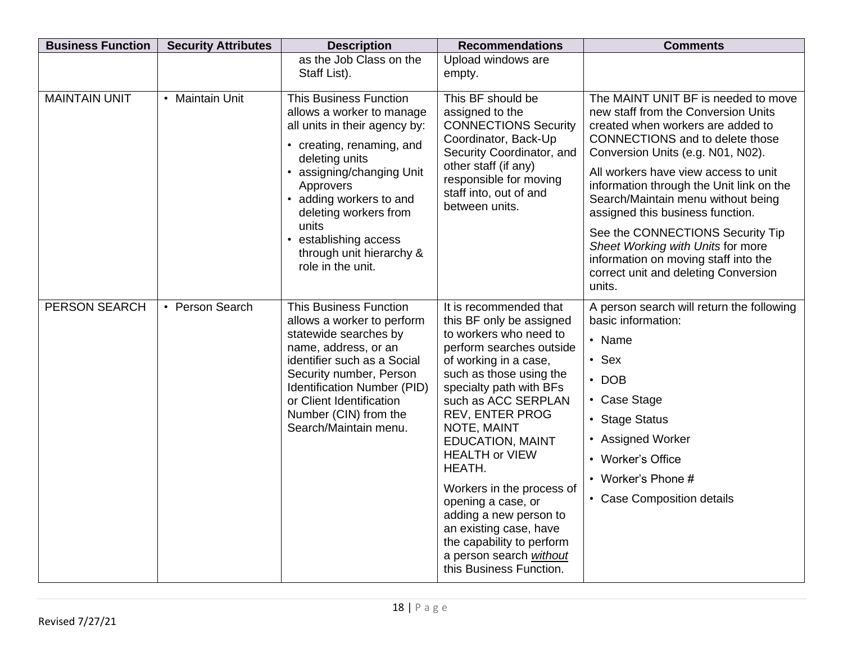| <b>Business Function</b> | <b>Security Attributes</b> | <b>Description</b>                                                                                                                                                                                                                                                                                                        | <b>Recommendations</b>                                                                                                                                                                                                                                                                                                                                                                                                                                                                                          | <b>Comments</b>                                                                                                                                                                                                                                                                                                                                                                                                                                                                                                                 |
|--------------------------|----------------------------|---------------------------------------------------------------------------------------------------------------------------------------------------------------------------------------------------------------------------------------------------------------------------------------------------------------------------|-----------------------------------------------------------------------------------------------------------------------------------------------------------------------------------------------------------------------------------------------------------------------------------------------------------------------------------------------------------------------------------------------------------------------------------------------------------------------------------------------------------------|---------------------------------------------------------------------------------------------------------------------------------------------------------------------------------------------------------------------------------------------------------------------------------------------------------------------------------------------------------------------------------------------------------------------------------------------------------------------------------------------------------------------------------|
|                          |                            | as the Job Class on the<br>Staff List).                                                                                                                                                                                                                                                                                   | Upload windows are<br>empty.                                                                                                                                                                                                                                                                                                                                                                                                                                                                                    |                                                                                                                                                                                                                                                                                                                                                                                                                                                                                                                                 |
| <b>MAINTAIN UNIT</b>     | • Maintain Unit            | <b>This Business Function</b><br>allows a worker to manage<br>all units in their agency by:<br>• creating, renaming, and<br>deleting units<br>• assigning/changing Unit<br>Approvers<br>• adding workers to and<br>deleting workers from<br>units<br>establishing access<br>through unit hierarchy &<br>role in the unit. | This BF should be<br>assigned to the<br><b>CONNECTIONS Security</b><br>Coordinator, Back-Up<br>Security Coordinator, and<br>other staff (if any)<br>responsible for moving<br>staff into, out of and<br>between units.                                                                                                                                                                                                                                                                                          | The MAINT UNIT BF is needed to move<br>new staff from the Conversion Units<br>created when workers are added to<br><b>CONNECTIONS</b> and to delete those<br>Conversion Units (e.g. N01, N02).<br>All workers have view access to unit<br>information through the Unit link on the<br>Search/Maintain menu without being<br>assigned this business function.<br>See the CONNECTIONS Security Tip<br>Sheet Working with Units for more<br>information on moving staff into the<br>correct unit and deleting Conversion<br>units. |
| PERSON SEARCH            | • Person Search            | <b>This Business Function</b><br>allows a worker to perform<br>statewide searches by<br>name, address, or an<br>identifier such as a Social<br>Security number, Person<br>Identification Number (PID)<br>or Client Identification<br>Number (CIN) from the<br>Search/Maintain menu.                                       | It is recommended that<br>this BF only be assigned<br>to workers who need to<br>perform searches outside<br>of working in a case,<br>such as those using the<br>specialty path with BFs<br>such as ACC SERPLAN<br><b>REV, ENTER PROG</b><br>NOTE, MAINT<br><b>EDUCATION, MAINT</b><br><b>HEALTH or VIEW</b><br>HEATH.<br>Workers in the process of<br>opening a case, or<br>adding a new person to<br>an existing case, have<br>the capability to perform<br>a person search without<br>this Business Function. | A person search will return the following<br>basic information:<br>• Name<br>$\cdot$ Sex<br>$\cdot$ DOB<br>• Case Stage<br>• Stage Status<br>• Assigned Worker<br>• Worker's Office<br>• Worker's Phone #<br>• Case Composition details                                                                                                                                                                                                                                                                                         |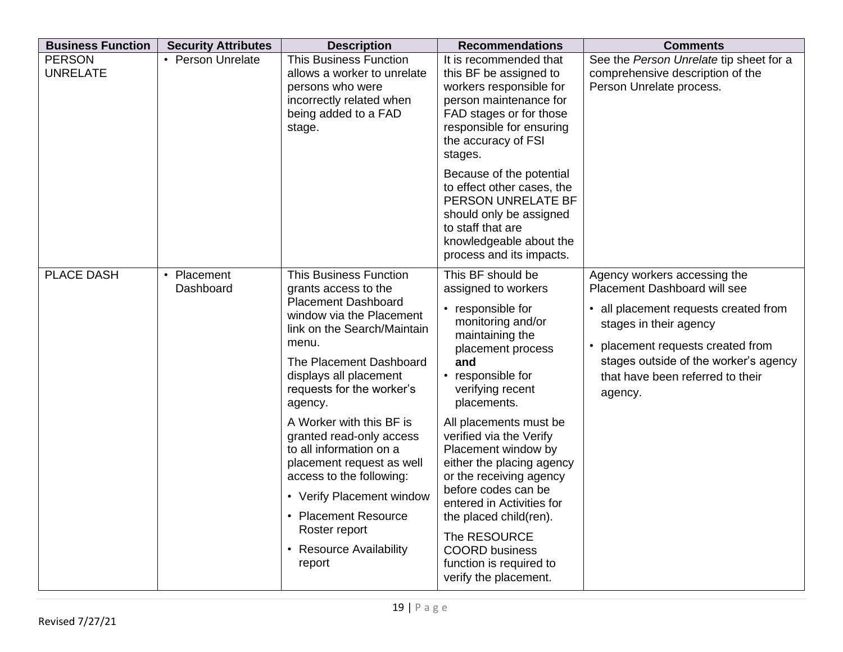| <b>Business Function</b>         | <b>Security Attributes</b>          | <b>Description</b>                                                                                                                                                                                                                                                                                                                                                                                                                                                                                               | <b>Recommendations</b>                                                                                                                                                                                                                                                                                                                                                                                                                                                                                 | <b>Comments</b>                                                                                                                                                                                                                                                   |
|----------------------------------|-------------------------------------|------------------------------------------------------------------------------------------------------------------------------------------------------------------------------------------------------------------------------------------------------------------------------------------------------------------------------------------------------------------------------------------------------------------------------------------------------------------------------------------------------------------|--------------------------------------------------------------------------------------------------------------------------------------------------------------------------------------------------------------------------------------------------------------------------------------------------------------------------------------------------------------------------------------------------------------------------------------------------------------------------------------------------------|-------------------------------------------------------------------------------------------------------------------------------------------------------------------------------------------------------------------------------------------------------------------|
| <b>PERSON</b><br><b>UNRELATE</b> | • Person Unrelate                   | <b>This Business Function</b><br>allows a worker to unrelate<br>persons who were<br>incorrectly related when<br>being added to a FAD<br>stage.                                                                                                                                                                                                                                                                                                                                                                   | It is recommended that<br>this BF be assigned to<br>workers responsible for<br>person maintenance for<br>FAD stages or for those<br>responsible for ensuring<br>the accuracy of FSI<br>stages.                                                                                                                                                                                                                                                                                                         | See the Person Unrelate tip sheet for a<br>comprehensive description of the<br>Person Unrelate process.                                                                                                                                                           |
|                                  |                                     |                                                                                                                                                                                                                                                                                                                                                                                                                                                                                                                  | Because of the potential<br>to effect other cases, the<br>PERSON UNRELATE BF<br>should only be assigned<br>to staff that are<br>knowledgeable about the<br>process and its impacts.                                                                                                                                                                                                                                                                                                                    |                                                                                                                                                                                                                                                                   |
| <b>PLACE DASH</b>                | Placement<br>$\bullet$<br>Dashboard | <b>This Business Function</b><br>grants access to the<br><b>Placement Dashboard</b><br>window via the Placement<br>link on the Search/Maintain<br>menu.<br>The Placement Dashboard<br>displays all placement<br>requests for the worker's<br>agency.<br>A Worker with this BF is<br>granted read-only access<br>to all information on a<br>placement request as well<br>access to the following:<br>• Verify Placement window<br>• Placement Resource<br>Roster report<br><b>Resource Availability</b><br>report | This BF should be<br>assigned to workers<br>• responsible for<br>monitoring and/or<br>maintaining the<br>placement process<br>and<br>responsible for<br>verifying recent<br>placements.<br>All placements must be<br>verified via the Verify<br>Placement window by<br>either the placing agency<br>or the receiving agency<br>before codes can be<br>entered in Activities for<br>the placed child(ren).<br>The RESOURCE<br><b>COORD</b> business<br>function is required to<br>verify the placement. | Agency workers accessing the<br><b>Placement Dashboard will see</b><br>• all placement requests created from<br>stages in their agency<br>placement requests created from<br>stages outside of the worker's agency<br>that have been referred to their<br>agency. |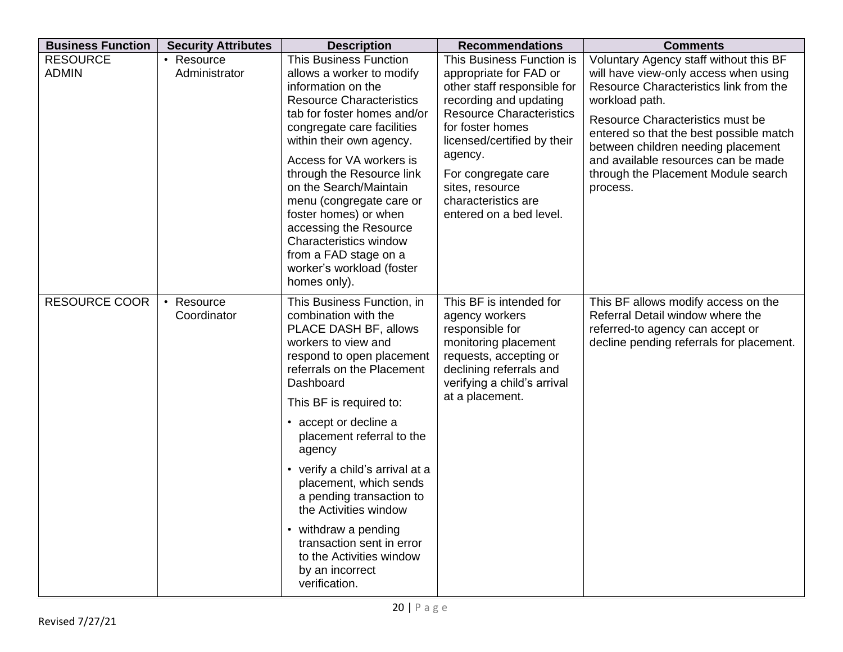| <b>Business Function</b>        | <b>Security Attributes</b>           | <b>Description</b>                                                                                                                                                                                                                                                                                                                                                                                                                                                                                           | <b>Recommendations</b>                                                                                                                                                                                                                                                                                    | <b>Comments</b>                                                                                                                                                                                                                                                                                                                                            |
|---------------------------------|--------------------------------------|--------------------------------------------------------------------------------------------------------------------------------------------------------------------------------------------------------------------------------------------------------------------------------------------------------------------------------------------------------------------------------------------------------------------------------------------------------------------------------------------------------------|-----------------------------------------------------------------------------------------------------------------------------------------------------------------------------------------------------------------------------------------------------------------------------------------------------------|------------------------------------------------------------------------------------------------------------------------------------------------------------------------------------------------------------------------------------------------------------------------------------------------------------------------------------------------------------|
| <b>RESOURCE</b><br><b>ADMIN</b> | • Resource<br>Administrator          | <b>This Business Function</b><br>allows a worker to modify<br>information on the<br><b>Resource Characteristics</b><br>tab for foster homes and/or<br>congregate care facilities<br>within their own agency.<br>Access for VA workers is<br>through the Resource link<br>on the Search/Maintain<br>menu (congregate care or<br>foster homes) or when<br>accessing the Resource<br><b>Characteristics window</b><br>from a FAD stage on a<br>worker's workload (foster<br>homes only).                        | This Business Function is<br>appropriate for FAD or<br>other staff responsible for<br>recording and updating<br><b>Resource Characteristics</b><br>for foster homes<br>licensed/certified by their<br>agency.<br>For congregate care<br>sites, resource<br>characteristics are<br>entered on a bed level. | Voluntary Agency staff without this BF<br>will have view-only access when using<br>Resource Characteristics link from the<br>workload path.<br>Resource Characteristics must be<br>entered so that the best possible match<br>between children needing placement<br>and available resources can be made<br>through the Placement Module search<br>process. |
| <b>RESOURCE COOR</b>            | Resource<br>$\bullet$<br>Coordinator | This Business Function, in<br>combination with the<br>PLACE DASH BF, allows<br>workers to view and<br>respond to open placement<br>referrals on the Placement<br>Dashboard<br>This BF is required to:<br>• accept or decline a<br>placement referral to the<br>agency<br>• verify a child's arrival at a<br>placement, which sends<br>a pending transaction to<br>the Activities window<br>• withdraw a pending<br>transaction sent in error<br>to the Activities window<br>by an incorrect<br>verification. | This BF is intended for<br>agency workers<br>responsible for<br>monitoring placement<br>requests, accepting or<br>declining referrals and<br>verifying a child's arrival<br>at a placement.                                                                                                               | This BF allows modify access on the<br>Referral Detail window where the<br>referred-to agency can accept or<br>decline pending referrals for placement.                                                                                                                                                                                                    |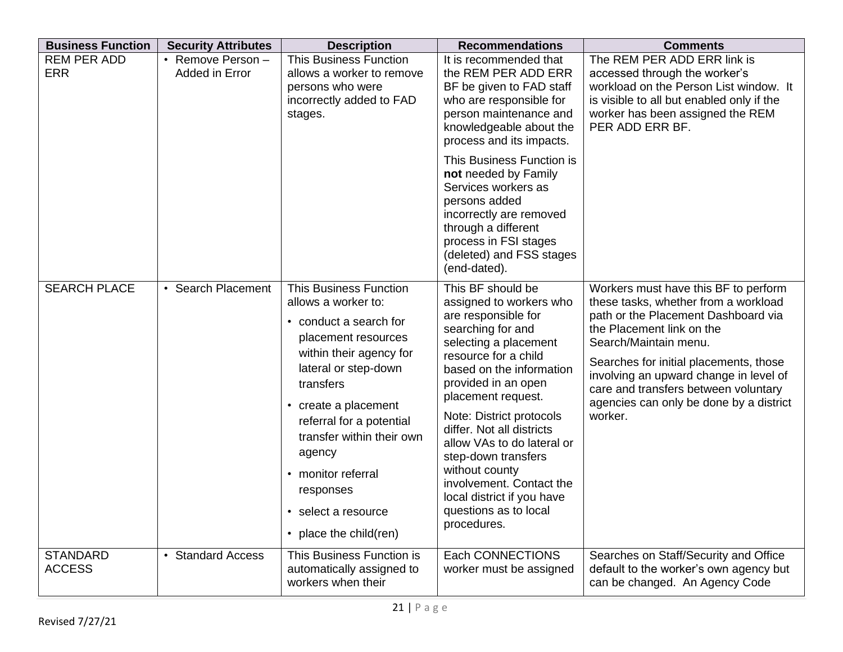| <b>Business Function</b>         | <b>Security Attributes</b>          | <b>Description</b>                                                                                                                                                                                                                                                                                                                                              | <b>Recommendations</b>                                                                                                                                                                                                                                                                                                                                                                                                                               | <b>Comments</b>                                                                                                                                                                                                                                                                                                                                             |
|----------------------------------|-------------------------------------|-----------------------------------------------------------------------------------------------------------------------------------------------------------------------------------------------------------------------------------------------------------------------------------------------------------------------------------------------------------------|------------------------------------------------------------------------------------------------------------------------------------------------------------------------------------------------------------------------------------------------------------------------------------------------------------------------------------------------------------------------------------------------------------------------------------------------------|-------------------------------------------------------------------------------------------------------------------------------------------------------------------------------------------------------------------------------------------------------------------------------------------------------------------------------------------------------------|
| <b>REM PER ADD</b><br><b>ERR</b> | • Remove Person -<br>Added in Error | <b>This Business Function</b><br>allows a worker to remove<br>persons who were<br>incorrectly added to FAD<br>stages.                                                                                                                                                                                                                                           | It is recommended that<br>the REM PER ADD ERR<br>BF be given to FAD staff<br>who are responsible for<br>person maintenance and<br>knowledgeable about the<br>process and its impacts.                                                                                                                                                                                                                                                                | The REM PER ADD ERR link is<br>accessed through the worker's<br>workload on the Person List window. It<br>is visible to all but enabled only if the<br>worker has been assigned the REM<br>PER ADD ERR BF.                                                                                                                                                  |
|                                  |                                     |                                                                                                                                                                                                                                                                                                                                                                 | This Business Function is<br>not needed by Family<br>Services workers as<br>persons added<br>incorrectly are removed<br>through a different<br>process in FSI stages<br>(deleted) and FSS stages<br>(end-dated).                                                                                                                                                                                                                                     |                                                                                                                                                                                                                                                                                                                                                             |
| <b>SEARCH PLACE</b>              | • Search Placement                  | <b>This Business Function</b><br>allows a worker to:<br>• conduct a search for<br>placement resources<br>within their agency for<br>lateral or step-down<br>transfers<br>• create a placement<br>referral for a potential<br>transfer within their own<br>agency<br>• monitor referral<br>responses<br>• select a resource<br>place the child(ren)<br>$\bullet$ | This BF should be<br>assigned to workers who<br>are responsible for<br>searching for and<br>selecting a placement<br>resource for a child<br>based on the information<br>provided in an open<br>placement request.<br>Note: District protocols<br>differ. Not all districts<br>allow VAs to do lateral or<br>step-down transfers<br>without county<br>involvement. Contact the<br>local district if you have<br>questions as to local<br>procedures. | Workers must have this BF to perform<br>these tasks, whether from a workload<br>path or the Placement Dashboard via<br>the Placement link on the<br>Search/Maintain menu.<br>Searches for initial placements, those<br>involving an upward change in level of<br>care and transfers between voluntary<br>agencies can only be done by a district<br>worker. |
| <b>STANDARD</b><br><b>ACCESS</b> | • Standard Access                   | This Business Function is<br>automatically assigned to<br>workers when their                                                                                                                                                                                                                                                                                    | Each CONNECTIONS<br>worker must be assigned                                                                                                                                                                                                                                                                                                                                                                                                          | Searches on Staff/Security and Office<br>default to the worker's own agency but<br>can be changed. An Agency Code                                                                                                                                                                                                                                           |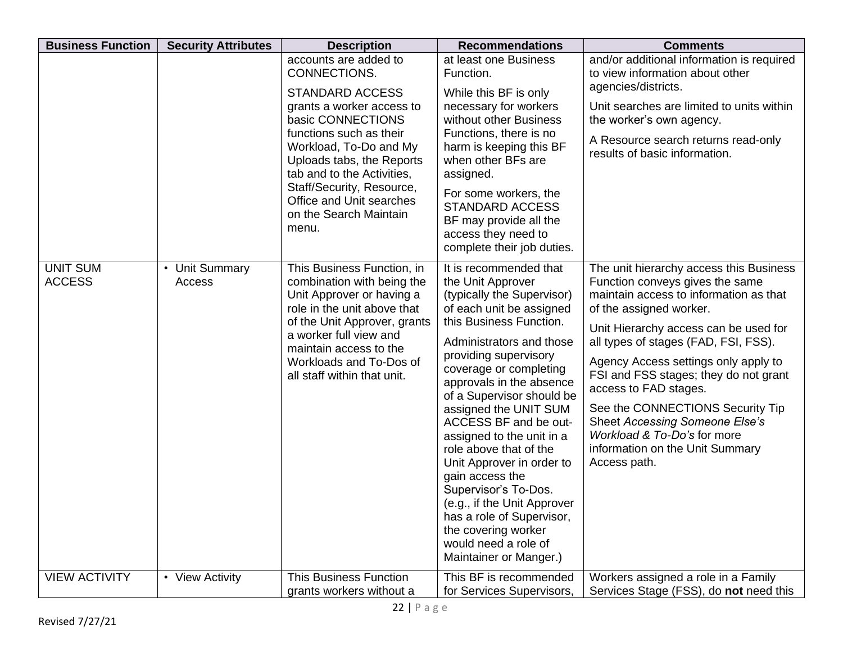| <b>Business Function</b>         | <b>Security Attributes</b>                 | <b>Description</b>                                                                                                                                                                                                                                                                                                            | <b>Recommendations</b>                                                                                                                                                                                                                                                                                                                                                                                                                                                                                                                                                                         | <b>Comments</b>                                                                                                                                                                                                                                                                                                                                                                                                                                                                                    |
|----------------------------------|--------------------------------------------|-------------------------------------------------------------------------------------------------------------------------------------------------------------------------------------------------------------------------------------------------------------------------------------------------------------------------------|------------------------------------------------------------------------------------------------------------------------------------------------------------------------------------------------------------------------------------------------------------------------------------------------------------------------------------------------------------------------------------------------------------------------------------------------------------------------------------------------------------------------------------------------------------------------------------------------|----------------------------------------------------------------------------------------------------------------------------------------------------------------------------------------------------------------------------------------------------------------------------------------------------------------------------------------------------------------------------------------------------------------------------------------------------------------------------------------------------|
|                                  |                                            | accounts are added to<br>CONNECTIONS.<br><b>STANDARD ACCESS</b><br>grants a worker access to<br>basic CONNECTIONS<br>functions such as their<br>Workload, To-Do and My<br>Uploads tabs, the Reports<br>tab and to the Activities,<br>Staff/Security, Resource,<br>Office and Unit searches<br>on the Search Maintain<br>menu. | at least one Business<br>Function.<br>While this BF is only<br>necessary for workers<br>without other Business<br>Functions, there is no<br>harm is keeping this BF<br>when other BFs are<br>assigned.<br>For some workers, the<br><b>STANDARD ACCESS</b><br>BF may provide all the<br>access they need to<br>complete their job duties.                                                                                                                                                                                                                                                       | and/or additional information is required<br>to view information about other<br>agencies/districts.<br>Unit searches are limited to units within<br>the worker's own agency.<br>A Resource search returns read-only<br>results of basic information.                                                                                                                                                                                                                                               |
| <b>UNIT SUM</b><br><b>ACCESS</b> | <b>Unit Summary</b><br>$\bullet$<br>Access | This Business Function, in<br>combination with being the<br>Unit Approver or having a<br>role in the unit above that<br>of the Unit Approver, grants<br>a worker full view and<br>maintain access to the<br>Workloads and To-Dos of<br>all staff within that unit.                                                            | It is recommended that<br>the Unit Approver<br>(typically the Supervisor)<br>of each unit be assigned<br>this Business Function.<br>Administrators and those<br>providing supervisory<br>coverage or completing<br>approvals in the absence<br>of a Supervisor should be<br>assigned the UNIT SUM<br>ACCESS BF and be out-<br>assigned to the unit in a<br>role above that of the<br>Unit Approver in order to<br>gain access the<br>Supervisor's To-Dos.<br>(e.g., if the Unit Approver<br>has a role of Supervisor,<br>the covering worker<br>would need a role of<br>Maintainer or Manger.) | The unit hierarchy access this Business<br>Function conveys gives the same<br>maintain access to information as that<br>of the assigned worker.<br>Unit Hierarchy access can be used for<br>all types of stages (FAD, FSI, FSS).<br>Agency Access settings only apply to<br>FSI and FSS stages; they do not grant<br>access to FAD stages.<br>See the CONNECTIONS Security Tip<br>Sheet Accessing Someone Else's<br>Workload & To-Do's for more<br>information on the Unit Summary<br>Access path. |
| <b>VIEW ACTIVITY</b>             | • View Activity                            | <b>This Business Function</b><br>grants workers without a                                                                                                                                                                                                                                                                     | This BF is recommended<br>for Services Supervisors,                                                                                                                                                                                                                                                                                                                                                                                                                                                                                                                                            | Workers assigned a role in a Family<br>Services Stage (FSS), do not need this                                                                                                                                                                                                                                                                                                                                                                                                                      |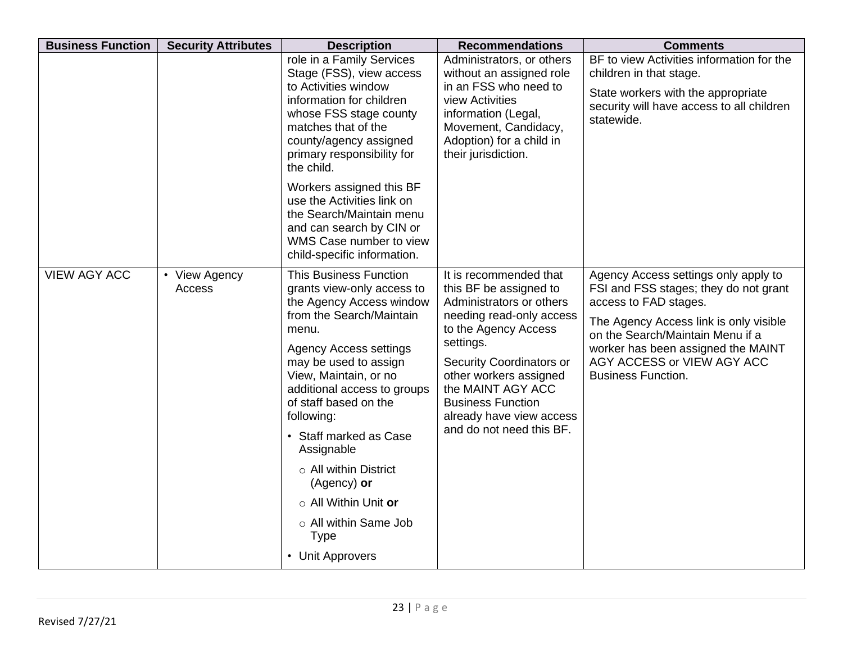| <b>Business Function</b> | <b>Security Attributes</b> | <b>Description</b>                                                                                                                                                                                                                                                                                                                                                                                                                                              | <b>Recommendations</b>                                                                                                                                                                                                                                                                                       | <b>Comments</b>                                                                                                                                                                                                                                                                       |
|--------------------------|----------------------------|-----------------------------------------------------------------------------------------------------------------------------------------------------------------------------------------------------------------------------------------------------------------------------------------------------------------------------------------------------------------------------------------------------------------------------------------------------------------|--------------------------------------------------------------------------------------------------------------------------------------------------------------------------------------------------------------------------------------------------------------------------------------------------------------|---------------------------------------------------------------------------------------------------------------------------------------------------------------------------------------------------------------------------------------------------------------------------------------|
|                          |                            | role in a Family Services<br>Stage (FSS), view access<br>to Activities window<br>information for children<br>whose FSS stage county<br>matches that of the<br>county/agency assigned<br>primary responsibility for<br>the child.                                                                                                                                                                                                                                | Administrators, or others<br>without an assigned role<br>in an FSS who need to<br>view Activities<br>information (Legal,<br>Movement, Candidacy,<br>Adoption) for a child in<br>their jurisdiction.                                                                                                          | BF to view Activities information for the<br>children in that stage.<br>State workers with the appropriate<br>security will have access to all children<br>statewide.                                                                                                                 |
|                          |                            | Workers assigned this BF<br>use the Activities link on<br>the Search/Maintain menu<br>and can search by CIN or<br>WMS Case number to view<br>child-specific information.                                                                                                                                                                                                                                                                                        |                                                                                                                                                                                                                                                                                                              |                                                                                                                                                                                                                                                                                       |
| <b>VIEW AGY ACC</b>      | • View Agency<br>Access    | <b>This Business Function</b><br>grants view-only access to<br>the Agency Access window<br>from the Search/Maintain<br>menu.<br><b>Agency Access settings</b><br>may be used to assign<br>View, Maintain, or no<br>additional access to groups<br>of staff based on the<br>following:<br>• Staff marked as Case<br>Assignable<br>$\circ$ All within District<br>(Agency) or<br>○ All Within Unit or<br>o All within Same Job<br><b>Type</b><br>• Unit Approvers | It is recommended that<br>this BF be assigned to<br>Administrators or others<br>needing read-only access<br>to the Agency Access<br>settings.<br>Security Coordinators or<br>other workers assigned<br>the MAINT AGY ACC<br><b>Business Function</b><br>already have view access<br>and do not need this BF. | Agency Access settings only apply to<br>FSI and FSS stages; they do not grant<br>access to FAD stages.<br>The Agency Access link is only visible<br>on the Search/Maintain Menu if a<br>worker has been assigned the MAINT<br>AGY ACCESS or VIEW AGY ACC<br><b>Business Function.</b> |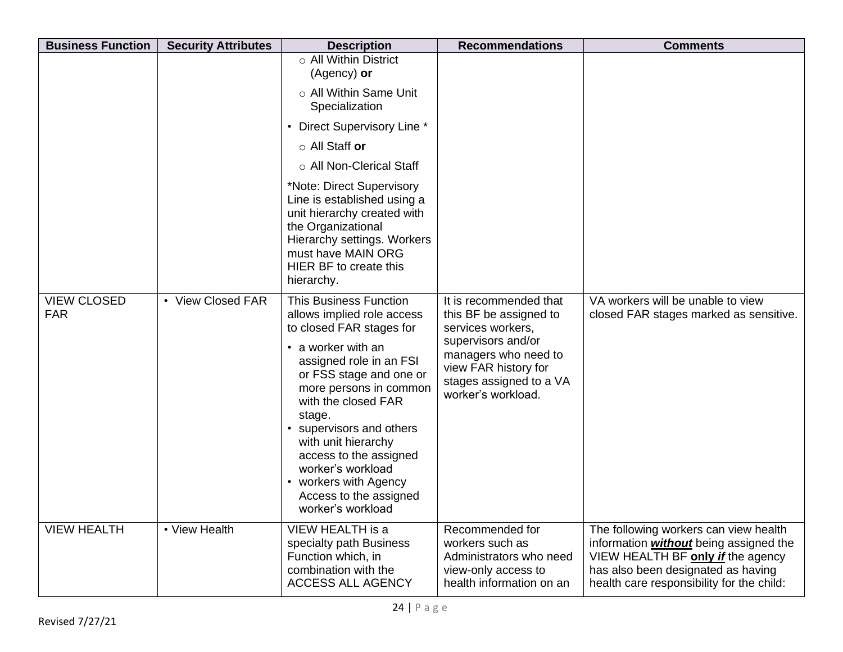| <b>Business Function</b>         | <b>Security Attributes</b> | <b>Description</b>                                                                                                                                                                                                                                                                                                                                                                                       | <b>Recommendations</b>                                                                                                                                                                       | <b>Comments</b>                                                                                                                                                                                                |
|----------------------------------|----------------------------|----------------------------------------------------------------------------------------------------------------------------------------------------------------------------------------------------------------------------------------------------------------------------------------------------------------------------------------------------------------------------------------------------------|----------------------------------------------------------------------------------------------------------------------------------------------------------------------------------------------|----------------------------------------------------------------------------------------------------------------------------------------------------------------------------------------------------------------|
|                                  |                            | $\circ$ All Within District<br>(Agency) or                                                                                                                                                                                                                                                                                                                                                               |                                                                                                                                                                                              |                                                                                                                                                                                                                |
|                                  |                            | o All Within Same Unit<br>Specialization                                                                                                                                                                                                                                                                                                                                                                 |                                                                                                                                                                                              |                                                                                                                                                                                                                |
|                                  |                            | • Direct Supervisory Line *                                                                                                                                                                                                                                                                                                                                                                              |                                                                                                                                                                                              |                                                                                                                                                                                                                |
|                                  |                            | $\circ$ All Staff or                                                                                                                                                                                                                                                                                                                                                                                     |                                                                                                                                                                                              |                                                                                                                                                                                                                |
|                                  |                            | ○ All Non-Clerical Staff                                                                                                                                                                                                                                                                                                                                                                                 |                                                                                                                                                                                              |                                                                                                                                                                                                                |
|                                  |                            | *Note: Direct Supervisory<br>Line is established using a<br>unit hierarchy created with<br>the Organizational<br>Hierarchy settings. Workers<br>must have MAIN ORG<br>HIER BF to create this<br>hierarchy.                                                                                                                                                                                               |                                                                                                                                                                                              |                                                                                                                                                                                                                |
| <b>VIEW CLOSED</b><br><b>FAR</b> | • View Closed FAR          | <b>This Business Function</b><br>allows implied role access<br>to closed FAR stages for<br>• a worker with an<br>assigned role in an FSI<br>or FSS stage and one or<br>more persons in common<br>with the closed FAR<br>stage.<br>• supervisors and others<br>with unit hierarchy<br>access to the assigned<br>worker's workload<br>• workers with Agency<br>Access to the assigned<br>worker's workload | It is recommended that<br>this BF be assigned to<br>services workers,<br>supervisors and/or<br>managers who need to<br>view FAR history for<br>stages assigned to a VA<br>worker's workload. | VA workers will be unable to view<br>closed FAR stages marked as sensitive.                                                                                                                                    |
| <b>VIEW HEALTH</b>               | • View Health              | VIEW HEALTH is a<br>specialty path Business<br>Function which, in<br>combination with the<br><b>ACCESS ALL AGENCY</b>                                                                                                                                                                                                                                                                                    | Recommended for<br>workers such as<br>Administrators who need<br>view-only access to<br>health information on an                                                                             | The following workers can view health<br>information <i>without</i> being assigned the<br>VIEW HEALTH BF only if the agency<br>has also been designated as having<br>health care responsibility for the child: |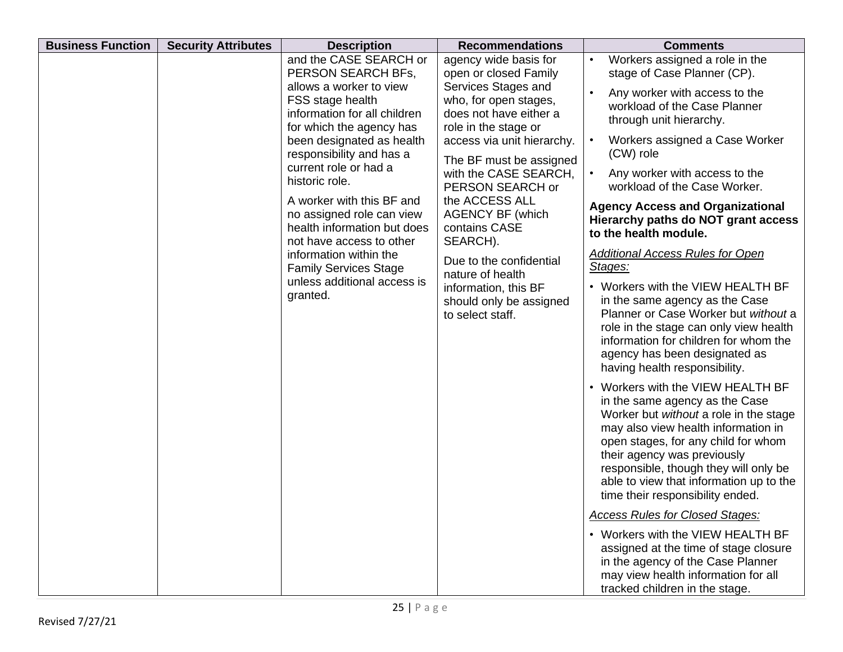| <b>Business Function</b> | <b>Security Attributes</b> | <b>Description</b>                                                                                                | <b>Recommendations</b>                                                                         | <b>Comments</b>                                                                                                                                                                                                                                                                                                                                    |
|--------------------------|----------------------------|-------------------------------------------------------------------------------------------------------------------|------------------------------------------------------------------------------------------------|----------------------------------------------------------------------------------------------------------------------------------------------------------------------------------------------------------------------------------------------------------------------------------------------------------------------------------------------------|
|                          |                            | and the CASE SEARCH or<br>PERSON SEARCH BFs,                                                                      | agency wide basis for<br>open or closed Family                                                 | Workers assigned a role in the<br>$\bullet$<br>stage of Case Planner (CP).                                                                                                                                                                                                                                                                         |
|                          |                            | allows a worker to view<br>FSS stage health<br>information for all children<br>for which the agency has           | Services Stages and<br>who, for open stages,<br>does not have either a<br>role in the stage or | Any worker with access to the<br>workload of the Case Planner<br>through unit hierarchy.                                                                                                                                                                                                                                                           |
|                          |                            | been designated as health<br>responsibility and has a                                                             | access via unit hierarchy.<br>The BF must be assigned                                          | Workers assigned a Case Worker<br>$\bullet$<br>(CW) role                                                                                                                                                                                                                                                                                           |
|                          |                            | current role or had a<br>historic role.                                                                           | with the CASE SEARCH,<br>PERSON SEARCH or                                                      | Any worker with access to the<br>$\bullet$<br>workload of the Case Worker.                                                                                                                                                                                                                                                                         |
|                          |                            | A worker with this BF and<br>no assigned role can view<br>health information but does<br>not have access to other | the ACCESS ALL<br><b>AGENCY BF (which</b><br>contains CASE<br>SEARCH).                         | <b>Agency Access and Organizational</b><br>Hierarchy paths do NOT grant access<br>to the health module.                                                                                                                                                                                                                                            |
|                          |                            | information within the<br><b>Family Services Stage</b>                                                            | Due to the confidential<br>nature of health                                                    | <b>Additional Access Rules for Open</b><br>Stages:                                                                                                                                                                                                                                                                                                 |
|                          |                            | unless additional access is<br>granted.                                                                           | information, this BF<br>should only be assigned<br>to select staff.                            | • Workers with the VIEW HEALTH BF<br>in the same agency as the Case<br>Planner or Case Worker but without a<br>role in the stage can only view health<br>information for children for whom the<br>agency has been designated as<br>having health responsibility.                                                                                   |
|                          |                            |                                                                                                                   |                                                                                                | • Workers with the VIEW HEALTH BF<br>in the same agency as the Case<br>Worker but without a role in the stage<br>may also view health information in<br>open stages, for any child for whom<br>their agency was previously<br>responsible, though they will only be<br>able to view that information up to the<br>time their responsibility ended. |
|                          |                            |                                                                                                                   |                                                                                                | <b>Access Rules for Closed Stages:</b>                                                                                                                                                                                                                                                                                                             |
|                          |                            |                                                                                                                   |                                                                                                | • Workers with the VIEW HEALTH BF<br>assigned at the time of stage closure<br>in the agency of the Case Planner<br>may view health information for all<br>tracked children in the stage.                                                                                                                                                           |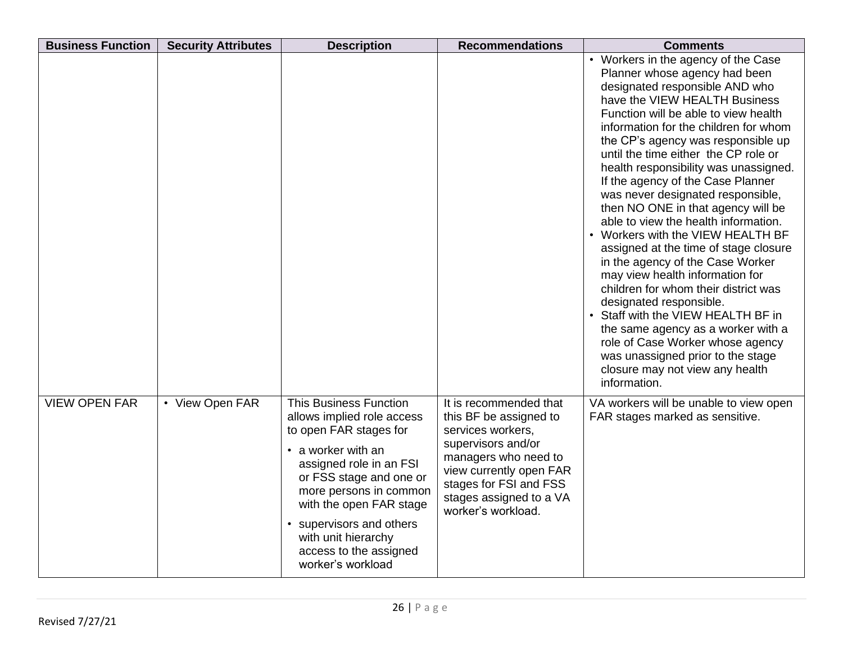| <b>Business Function</b> | <b>Security Attributes</b> | <b>Description</b>                                                                                                                                                                                                                                                                                                       | <b>Recommendations</b>                                                                                                                                                                                                    | <b>Comments</b>                                                                                                                                                                                                                                                                                                                                                                                                                                                                                                                                                                                                                                                                                                                                                                                                                                                                                                                         |
|--------------------------|----------------------------|--------------------------------------------------------------------------------------------------------------------------------------------------------------------------------------------------------------------------------------------------------------------------------------------------------------------------|---------------------------------------------------------------------------------------------------------------------------------------------------------------------------------------------------------------------------|-----------------------------------------------------------------------------------------------------------------------------------------------------------------------------------------------------------------------------------------------------------------------------------------------------------------------------------------------------------------------------------------------------------------------------------------------------------------------------------------------------------------------------------------------------------------------------------------------------------------------------------------------------------------------------------------------------------------------------------------------------------------------------------------------------------------------------------------------------------------------------------------------------------------------------------------|
|                          |                            |                                                                                                                                                                                                                                                                                                                          |                                                                                                                                                                                                                           | • Workers in the agency of the Case<br>Planner whose agency had been<br>designated responsible AND who<br>have the VIEW HEALTH Business<br>Function will be able to view health<br>information for the children for whom<br>the CP's agency was responsible up<br>until the time either the CP role or<br>health responsibility was unassigned.<br>If the agency of the Case Planner<br>was never designated responsible,<br>then NO ONE in that agency will be<br>able to view the health information.<br>• Workers with the VIEW HEALTH BF<br>assigned at the time of stage closure<br>in the agency of the Case Worker<br>may view health information for<br>children for whom their district was<br>designated responsible.<br>• Staff with the VIEW HEALTH BF in<br>the same agency as a worker with a<br>role of Case Worker whose agency<br>was unassigned prior to the stage<br>closure may not view any health<br>information. |
| <b>VIEW OPEN FAR</b>     | • View Open FAR            | <b>This Business Function</b><br>allows implied role access<br>to open FAR stages for<br>• a worker with an<br>assigned role in an FSI<br>or FSS stage and one or<br>more persons in common<br>with the open FAR stage<br>• supervisors and others<br>with unit hierarchy<br>access to the assigned<br>worker's workload | It is recommended that<br>this BF be assigned to<br>services workers,<br>supervisors and/or<br>managers who need to<br>view currently open FAR<br>stages for FSI and FSS<br>stages assigned to a VA<br>worker's workload. | VA workers will be unable to view open<br>FAR stages marked as sensitive.                                                                                                                                                                                                                                                                                                                                                                                                                                                                                                                                                                                                                                                                                                                                                                                                                                                               |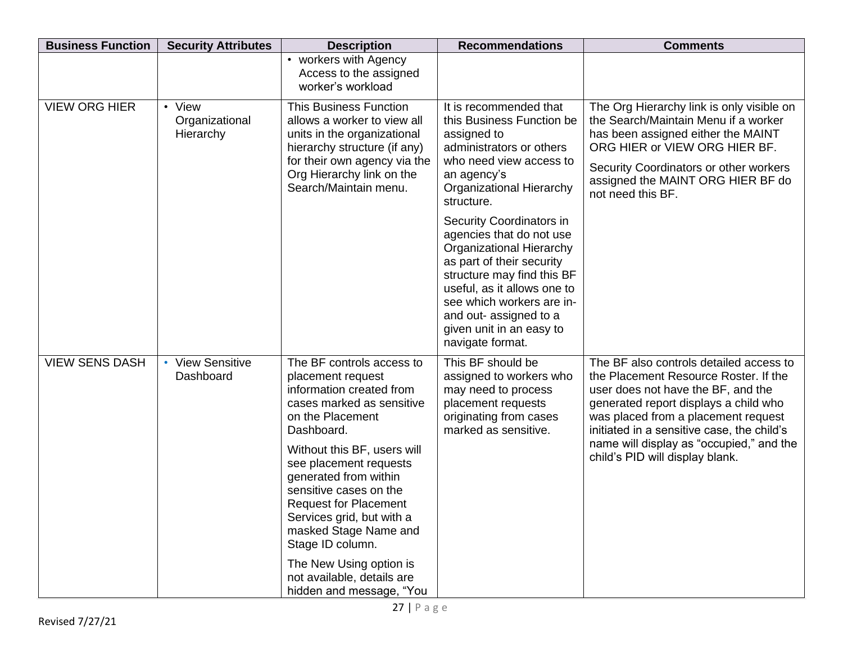| <b>Business Function</b> | <b>Security Attributes</b>                      | <b>Description</b>                                                                                                                                                                                                                                                                                                                                                                                                                                   | <b>Recommendations</b>                                                                                                                                                                                                                                                                                                                                                                                                                                                                | <b>Comments</b>                                                                                                                                                                                                                                                                                                                     |
|--------------------------|-------------------------------------------------|------------------------------------------------------------------------------------------------------------------------------------------------------------------------------------------------------------------------------------------------------------------------------------------------------------------------------------------------------------------------------------------------------------------------------------------------------|---------------------------------------------------------------------------------------------------------------------------------------------------------------------------------------------------------------------------------------------------------------------------------------------------------------------------------------------------------------------------------------------------------------------------------------------------------------------------------------|-------------------------------------------------------------------------------------------------------------------------------------------------------------------------------------------------------------------------------------------------------------------------------------------------------------------------------------|
|                          |                                                 | • workers with Agency<br>Access to the assigned<br>worker's workload                                                                                                                                                                                                                                                                                                                                                                                 |                                                                                                                                                                                                                                                                                                                                                                                                                                                                                       |                                                                                                                                                                                                                                                                                                                                     |
| <b>VIEW ORG HIER</b>     | • View<br>Organizational<br>Hierarchy           | <b>This Business Function</b><br>allows a worker to view all<br>units in the organizational<br>hierarchy structure (if any)<br>for their own agency via the<br>Org Hierarchy link on the<br>Search/Maintain menu.                                                                                                                                                                                                                                    | It is recommended that<br>this Business Function be<br>assigned to<br>administrators or others<br>who need view access to<br>an agency's<br><b>Organizational Hierarchy</b><br>structure.<br>Security Coordinators in<br>agencies that do not use<br><b>Organizational Hierarchy</b><br>as part of their security<br>structure may find this BF<br>useful, as it allows one to<br>see which workers are in-<br>and out- assigned to a<br>given unit in an easy to<br>navigate format. | The Org Hierarchy link is only visible on<br>the Search/Maintain Menu if a worker<br>has been assigned either the MAINT<br>ORG HIER or VIEW ORG HIER BF.<br>Security Coordinators or other workers<br>assigned the MAINT ORG HIER BF do<br>not need this BF.                                                                        |
| <b>VIEW SENS DASH</b>    | <b>View Sensitive</b><br>$\bullet$<br>Dashboard | The BF controls access to<br>placement request<br>information created from<br>cases marked as sensitive<br>on the Placement<br>Dashboard.<br>Without this BF, users will<br>see placement requests<br>generated from within<br>sensitive cases on the<br><b>Request for Placement</b><br>Services grid, but with a<br>masked Stage Name and<br>Stage ID column.<br>The New Using option is<br>not available, details are<br>hidden and message, "You | This BF should be<br>assigned to workers who<br>may need to process<br>placement requests<br>originating from cases<br>marked as sensitive.                                                                                                                                                                                                                                                                                                                                           | The BF also controls detailed access to<br>the Placement Resource Roster. If the<br>user does not have the BF, and the<br>generated report displays a child who<br>was placed from a placement request<br>initiated in a sensitive case, the child's<br>name will display as "occupied," and the<br>child's PID will display blank. |